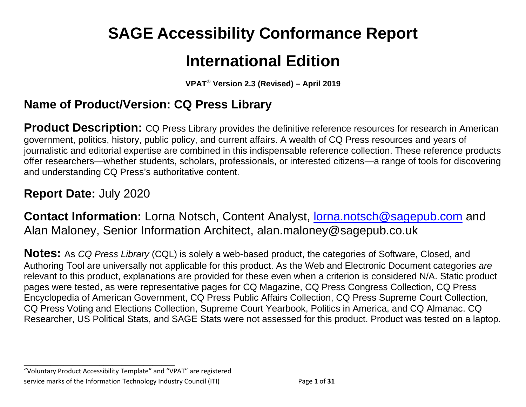# **SAGE Accessibility Conformance Report**

# **International Edition**

**VPAT**® **Version 2.3 (Revised) – April 2019**

## **Name of Product/Version: CQ Press Library**

**Product Description:** CQ Press Library provides the definitive reference resources for research in American government, politics, history, public policy, and current affairs. A wealth of CQ Press resources and years of journalistic and editorial expertise are combined in this indispensable reference collection. These reference products offer researchers—whether students, scholars, professionals, or interested citizens—a range of tools for discovering and understanding CQ Press's authoritative content.

## **Report Date:** July 2020

**Contact Information:** Lorna Notsch, Content Analyst, [lorna.notsch@sagepub.com](mailto:lorna.notsch@sagepub.com) and Alan Maloney, Senior Information Architect, alan.maloney@sagepub.co.uk

**Notes:** As *CQ Press Library* (CQL) is solely a web-based product, the categories of Software, Closed, and Authoring Tool are universally not applicable for this product. As the Web and Electronic Document categories *are* relevant to this product, explanations are provided for these even when a criterion is considered N/A. Static product pages were tested, as were representative pages for CQ Magazine, CQ Press Congress Collection, CQ Press Encyclopedia of American Government, CQ Press Public Affairs Collection, CQ Press Supreme Court Collection, CQ Press Voting and Elections Collection, Supreme Court Yearbook, Politics in America, and CQ Almanac. CQ Researcher, US Political Stats, and SAGE Stats were not assessed for this product. Product was tested on a laptop.

**\_\_\_\_\_\_\_\_\_\_\_\_\_\_\_\_\_\_\_\_\_\_\_\_\_\_\_\_\_\_\_\_\_\_** "Voluntary Product Accessibility Template" and "VPAT" are registered service marks of the Information Technology Industry Council (ITI) Page **1** of **31**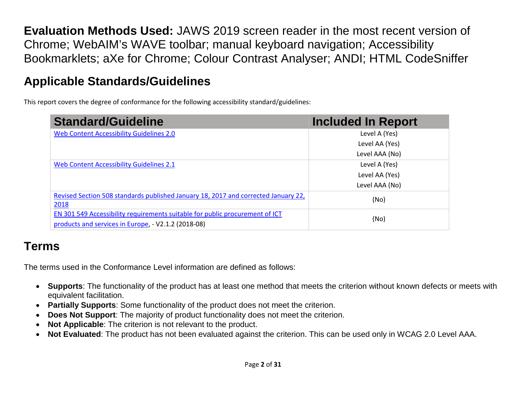**Evaluation Methods Used:** JAWS 2019 screen reader in the most recent version of Chrome; WebAIM's WAVE toolbar; manual keyboard navigation; Accessibility Bookmarklets; aXe for Chrome; Colour Contrast Analyser; ANDI; HTML CodeSniffer

# **Applicable Standards/Guidelines**

This report covers the degree of conformance for the following accessibility standard/guidelines:

| <b>Standard/Guideline</b>                                                          | <b>Included In Report</b> |  |
|------------------------------------------------------------------------------------|---------------------------|--|
| Web Content Accessibility Guidelines 2.0                                           | Level A (Yes)             |  |
|                                                                                    | Level AA (Yes)            |  |
|                                                                                    | Level AAA (No)            |  |
| <b>Web Content Accessibility Guidelines 2.1</b>                                    | Level A (Yes)             |  |
|                                                                                    | Level AA (Yes)            |  |
|                                                                                    | Level AAA (No)            |  |
| Revised Section 508 standards published January 18, 2017 and corrected January 22, | (No)                      |  |
| 2018                                                                               |                           |  |
| EN 301 549 Accessibility requirements suitable for public procurement of ICT       | (No)                      |  |
| products and services in Europe, - V2.1.2 (2018-08)                                |                           |  |

# **Terms**

The terms used in the Conformance Level information are defined as follows:

- **Supports**: The functionality of the product has at least one method that meets the criterion without known defects or meets with equivalent facilitation.
- **Partially Supports**: Some functionality of the product does not meet the criterion.
- **Does Not Support**: The majority of product functionality does not meet the criterion.
- **Not Applicable**: The criterion is not relevant to the product.
- **Not Evaluated**: The product has not been evaluated against the criterion. This can be used only in WCAG 2.0 Level AAA.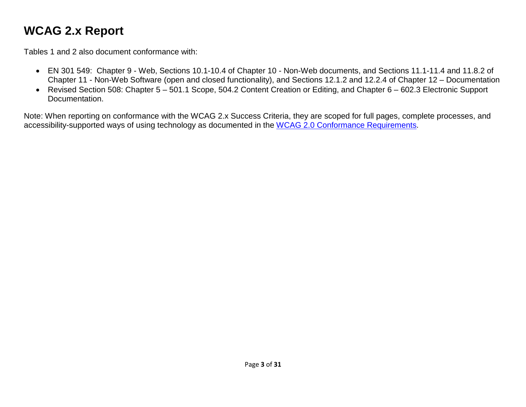# <span id="page-2-0"></span>**WCAG 2.x Report**

Tables 1 and 2 also document conformance with:

- EN 301 549: Chapter 9 Web, Sections 10.1-10.4 of Chapter 10 Non-Web documents, and Sections 11.1-11.4 and 11.8.2 of Chapter 11 - Non-Web Software (open and closed functionality), and Sections 12.1.2 and 12.2.4 of Chapter 12 – Documentation
- Revised Section 508: Chapter 5 501.1 Scope, 504.2 Content Creation or Editing, and Chapter 6 602.3 Electronic Support Documentation.

Note: When reporting on conformance with the WCAG 2.x Success Criteria, they are scoped for full pages, complete processes, and accessibility-supported ways of using technology as documented in the [WCAG 2.0 Conformance Requirements.](https://www.w3.org/TR/WCAG20/#conformance-reqs)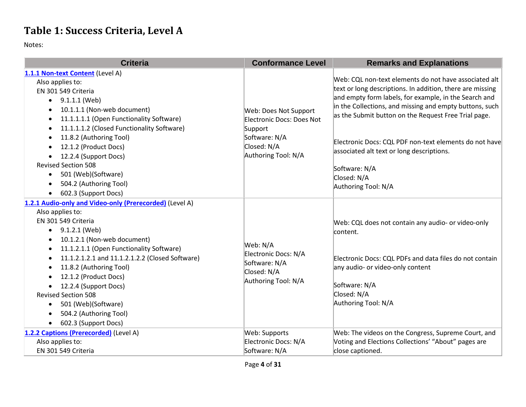## **Table 1: Success Criteria, Level A**

Notes:

| <b>Criteria</b>                                                                                                                                                                                                                                                                                                                                                                                                                                                                                             | <b>Conformance Level</b>                                                                                             | <b>Remarks and Explanations</b>                                                                                                                                                                                                                                                                                                                                                                                                                              |
|-------------------------------------------------------------------------------------------------------------------------------------------------------------------------------------------------------------------------------------------------------------------------------------------------------------------------------------------------------------------------------------------------------------------------------------------------------------------------------------------------------------|----------------------------------------------------------------------------------------------------------------------|--------------------------------------------------------------------------------------------------------------------------------------------------------------------------------------------------------------------------------------------------------------------------------------------------------------------------------------------------------------------------------------------------------------------------------------------------------------|
| 1.1.1 Non-text Content (Level A)<br>Also applies to:<br>EN 301 549 Criteria<br>9.1.1.1 (Web)<br>$\bullet$<br>10.1.1.1 (Non-web document)<br>11.1.1.1.1 (Open Functionality Software)<br>$\bullet$<br>11.1.1.1.2 (Closed Functionality Software)<br>$\bullet$<br>11.8.2 (Authoring Tool)<br>$\bullet$<br>12.1.2 (Product Docs)<br>12.2.4 (Support Docs)<br><b>Revised Section 508</b><br>501 (Web)(Software)<br>$\bullet$<br>504.2 (Authoring Tool)<br>$\bullet$<br>602.3 (Support Docs)                     | Web: Does Not Support<br>Electronic Docs: Does Not<br>Support<br>Software: N/A<br>Closed: N/A<br>Authoring Tool: N/A | Web: CQL non-text elements do not have associated alt<br>text or long descriptions. In addition, there are missing<br>and empty form labels, for example, in the Search and<br>in the Collections, and missing and empty buttons, such<br>as the Submit button on the Request Free Trial page.<br>Electronic Docs: CQL PDF non-text elements do not have<br>associated alt text or long descriptions.<br>Software: N/A<br>Closed: N/A<br>Authoring Tool: N/A |
| 1.2.1 Audio-only and Video-only (Prerecorded) (Level A)<br>Also applies to:<br>EN 301 549 Criteria<br>9.1.2.1 (Web)<br>$\bullet$<br>10.1.2.1 (Non-web document)<br>11.1.2.1.1 (Open Functionality Software)<br>٠<br>11.1.2.1.2.1 and 11.1.2.1.2.2 (Closed Software)<br>$\bullet$<br>11.8.2 (Authoring Tool)<br>$\bullet$<br>12.1.2 (Product Docs)<br>12.2.4 (Support Docs)<br>$\bullet$<br><b>Revised Section 508</b><br>501 (Web)(Software)<br>$\bullet$<br>504.2 (Authoring Tool)<br>602.3 (Support Docs) | Web: N/A<br>Electronic Docs: N/A<br>Software: N/A<br>Closed: N/A<br>Authoring Tool: N/A                              | Web: CQL does not contain any audio- or video-only<br>content.<br>Electronic Docs: CQL PDFs and data files do not contain<br>any audio- or video-only content<br>Software: N/A<br>Closed: N/A<br>Authoring Tool: N/A                                                                                                                                                                                                                                         |
| 1.2.2 Captions (Prerecorded) (Level A)<br>Also applies to:<br>EN 301 549 Criteria                                                                                                                                                                                                                                                                                                                                                                                                                           | Web: Supports<br>Electronic Docs: N/A<br>Software: N/A                                                               | Web: The videos on the Congress, Supreme Court, and<br>Voting and Elections Collections' "About" pages are<br>close captioned.                                                                                                                                                                                                                                                                                                                               |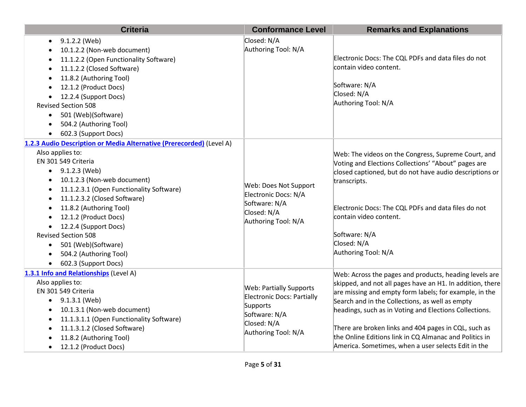| <b>Criteria</b>                                                                                                                                                                                                                                                                                                                                                                                                                                                     | <b>Conformance Level</b>                                                                                                               | <b>Remarks and Explanations</b>                                                                                                                                                                                                                                                                                                                                                                                                                                     |
|---------------------------------------------------------------------------------------------------------------------------------------------------------------------------------------------------------------------------------------------------------------------------------------------------------------------------------------------------------------------------------------------------------------------------------------------------------------------|----------------------------------------------------------------------------------------------------------------------------------------|---------------------------------------------------------------------------------------------------------------------------------------------------------------------------------------------------------------------------------------------------------------------------------------------------------------------------------------------------------------------------------------------------------------------------------------------------------------------|
| 9.1.2.2 (Web)<br>10.1.2.2 (Non-web document)<br>11.1.2.2 (Open Functionality Software)<br>11.1.2.2 (Closed Software)<br>11.8.2 (Authoring Tool)<br>12.1.2 (Product Docs)<br>12.2.4 (Support Docs)<br><b>Revised Section 508</b><br>501 (Web)(Software)<br>504.2 (Authoring Tool)<br>602.3 (Support Docs)                                                                                                                                                            | Closed: N/A<br>Authoring Tool: N/A                                                                                                     | Electronic Docs: The CQL PDFs and data files do not<br>contain video content.<br>Software: N/A<br>Closed: N/A<br>Authoring Tool: N/A                                                                                                                                                                                                                                                                                                                                |
| 1.2.3 Audio Description or Media Alternative (Prerecorded) (Level A)<br>Also applies to:<br>EN 301 549 Criteria<br>$\bullet$ 9.1.2.3 (Web)<br>10.1.2.3 (Non-web document)<br>$\bullet$<br>11.1.2.3.1 (Open Functionality Software)<br>11.1.2.3.2 (Closed Software)<br>11.8.2 (Authoring Tool)<br>12.1.2 (Product Docs)<br>12.2.4 (Support Docs)<br><b>Revised Section 508</b><br>501 (Web)(Software)<br>$\bullet$<br>504.2 (Authoring Tool)<br>602.3 (Support Docs) | Web: Does Not Support<br>Electronic Docs: N/A<br>Software: N/A<br>Closed: N/A<br>Authoring Tool: N/A                                   | Web: The videos on the Congress, Supreme Court, and<br>Voting and Elections Collections' "About" pages are<br>closed captioned, but do not have audio descriptions or<br>transcripts.<br>Electronic Docs: The CQL PDFs and data files do not<br>contain video content.<br>Software: N/A<br>Closed: N/A<br>Authoring Tool: N/A                                                                                                                                       |
| 1.3.1 Info and Relationships (Level A)<br>Also applies to:<br>EN 301 549 Criteria<br>$\bullet$ 9.1.3.1 (Web)<br>10.1.3.1 (Non-web document)<br>11.1.3.1.1 (Open Functionality Software)<br>11.1.3.1.2 (Closed Software)<br>11.8.2 (Authoring Tool)<br>12.1.2 (Product Docs)                                                                                                                                                                                         | <b>Web: Partially Supports</b><br><b>Electronic Docs: Partially</b><br>Supports<br>Software: N/A<br>Closed: N/A<br>Authoring Tool: N/A | Web: Across the pages and products, heading levels are<br>skipped, and not all pages have an H1. In addition, there<br>are missing and empty form labels; for example, in the<br>Search and in the Collections, as well as empty<br>headings, such as in Voting and Elections Collections.<br>There are broken links and 404 pages in CQL, such as<br>the Online Editions link in CQ Almanac and Politics in<br>America. Sometimes, when a user selects Edit in the |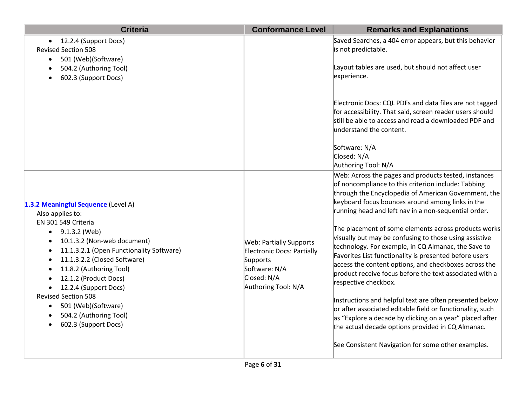| <b>Criteria</b>                                                                                                                                                                                                                                                                                                                                                                                                          | <b>Conformance Level</b>                                                                                                        | <b>Remarks and Explanations</b>                                                                                                                                                                                                                                                                                                                                                                                                                                                                                                                                                                                                                                                                                                                                                                                                                                                                                                                                                                                                                                                                                                                                                                                                 |
|--------------------------------------------------------------------------------------------------------------------------------------------------------------------------------------------------------------------------------------------------------------------------------------------------------------------------------------------------------------------------------------------------------------------------|---------------------------------------------------------------------------------------------------------------------------------|---------------------------------------------------------------------------------------------------------------------------------------------------------------------------------------------------------------------------------------------------------------------------------------------------------------------------------------------------------------------------------------------------------------------------------------------------------------------------------------------------------------------------------------------------------------------------------------------------------------------------------------------------------------------------------------------------------------------------------------------------------------------------------------------------------------------------------------------------------------------------------------------------------------------------------------------------------------------------------------------------------------------------------------------------------------------------------------------------------------------------------------------------------------------------------------------------------------------------------|
| 12.2.4 (Support Docs)<br><b>Revised Section 508</b><br>501 (Web)(Software)<br>504.2 (Authoring Tool)<br>602.3 (Support Docs)                                                                                                                                                                                                                                                                                             |                                                                                                                                 | Saved Searches, a 404 error appears, but this behavior<br>is not predictable.<br>Layout tables are used, but should not affect user<br>experience.                                                                                                                                                                                                                                                                                                                                                                                                                                                                                                                                                                                                                                                                                                                                                                                                                                                                                                                                                                                                                                                                              |
| 1.3.2 Meaningful Sequence (Level A)<br>Also applies to:<br>EN 301 549 Criteria<br>9.1.3.2 (Web)<br>$\bullet$<br>10.1.3.2 (Non-web document)<br>11.1.3.2.1 (Open Functionality Software)<br>11.1.3.2.2 (Closed Software)<br>11.8.2 (Authoring Tool)<br>12.1.2 (Product Docs)<br>12.2.4 (Support Docs)<br><b>Revised Section 508</b><br>501 (Web)(Software)<br>$\bullet$<br>504.2 (Authoring Tool)<br>602.3 (Support Docs) | <b>Web: Partially Supports</b><br>Electronic Docs: Partially<br>Supports<br>Software: N/A<br>Closed: N/A<br>Authoring Tool: N/A | Electronic Docs: CQL PDFs and data files are not tagged<br>for accessibility. That said, screen reader users should<br>still be able to access and read a downloaded PDF and<br>understand the content.<br>Software: N/A<br>Closed: N/A<br>Authoring Tool: N/A<br>Web: Across the pages and products tested, instances<br>of noncompliance to this criterion include: Tabbing<br>through the Encyclopedia of American Government, the<br>keyboard focus bounces around among links in the<br>running head and left nav in a non-sequential order.<br>The placement of some elements across products works<br>visually but may be confusing to those using assistive<br>technology. For example, in CQ Almanac, the Save to<br>Favorites List functionality is presented before users<br>access the content options, and checkboxes across the<br>product receive focus before the text associated with a<br>respective checkbox.<br>Instructions and helpful text are often presented below<br>or after associated editable field or functionality, such<br>as "Explore a decade by clicking on a year" placed after<br>the actual decade options provided in CQ Almanac.<br>See Consistent Navigation for some other examples. |
|                                                                                                                                                                                                                                                                                                                                                                                                                          |                                                                                                                                 |                                                                                                                                                                                                                                                                                                                                                                                                                                                                                                                                                                                                                                                                                                                                                                                                                                                                                                                                                                                                                                                                                                                                                                                                                                 |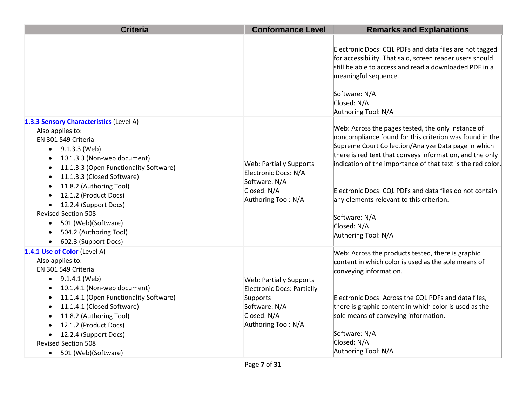| <b>Criteria</b>                                                                                                                                                                                                                                                                                                                                                                                                          | <b>Conformance Level</b>                                                                                                               | <b>Remarks and Explanations</b>                                                                                                                                                                                                                                                                                                                                                                                                                               |
|--------------------------------------------------------------------------------------------------------------------------------------------------------------------------------------------------------------------------------------------------------------------------------------------------------------------------------------------------------------------------------------------------------------------------|----------------------------------------------------------------------------------------------------------------------------------------|---------------------------------------------------------------------------------------------------------------------------------------------------------------------------------------------------------------------------------------------------------------------------------------------------------------------------------------------------------------------------------------------------------------------------------------------------------------|
|                                                                                                                                                                                                                                                                                                                                                                                                                          |                                                                                                                                        | Electronic Docs: CQL PDFs and data files are not tagged<br>for accessibility. That said, screen reader users should<br>still be able to access and read a downloaded PDF in a<br>meaningful sequence.<br>Software: N/A<br>Closed: N/A<br>Authoring Tool: N/A                                                                                                                                                                                                  |
| 1.3.3 Sensory Characteristics (Level A)<br>Also applies to:<br>EN 301 549 Criteria<br>9.1.3.3 (Web)<br>$\bullet$<br>10.1.3.3 (Non-web document)<br>11.1.3.3 (Open Functionality Software)<br>11.1.3.3 (Closed Software)<br>11.8.2 (Authoring Tool)<br>12.1.2 (Product Docs)<br>12.2.4 (Support Docs)<br><b>Revised Section 508</b><br>501 (Web)(Software)<br>$\bullet$<br>504.2 (Authoring Tool)<br>602.3 (Support Docs) | <b>Web: Partially Supports</b><br>Electronic Docs: N/A<br>Software: N/A<br>Closed: N/A<br>Authoring Tool: N/A                          | Web: Across the pages tested, the only instance of<br>noncompliance found for this criterion was found in the<br>Supreme Court Collection/Analyze Data page in which<br>there is red text that conveys information, and the only<br>indication of the importance of that text is the red color.<br>Electronic Docs: CQL PDFs and data files do not contain<br>any elements relevant to this criterion.<br>Software: N/A<br>Closed: N/A<br>Authoring Tool: N/A |
| 1.4.1 Use of Color (Level A)<br>Also applies to:<br>EN 301 549 Criteria<br>9.1.4.1 (Web)<br>10.1.4.1 (Non-web document)<br>11.1.4.1 (Open Functionality Software)<br>11.1.4.1 (Closed Software)<br>11.8.2 (Authoring Tool)<br>12.1.2 (Product Docs)<br>12.2.4 (Support Docs)<br><b>Revised Section 508</b><br>501 (Web)(Software)<br>$\bullet$                                                                           | <b>Web: Partially Supports</b><br><b>Electronic Docs: Partially</b><br>Supports<br>Software: N/A<br>Closed: N/A<br>Authoring Tool: N/A | Web: Across the products tested, there is graphic<br>content in which color is used as the sole means of<br>conveying information.<br>Electronic Docs: Across the CQL PDFs and data files,<br>there is graphic content in which color is used as the<br>sole means of conveying information.<br>Software: N/A<br>Closed: N/A<br>Authoring Tool: N/A                                                                                                           |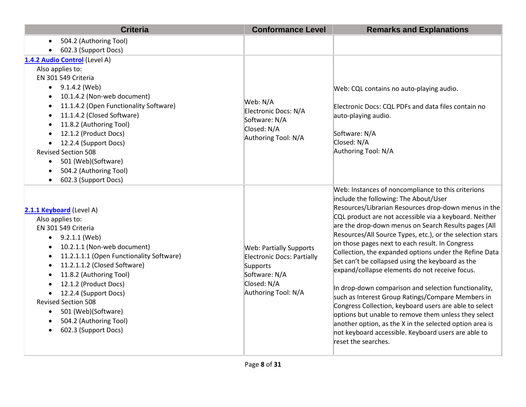| <b>Criteria</b>                                                                                                                                                                                                                                                                                                                                                                                                                                                   | <b>Conformance Level</b>                                                                                                        | <b>Remarks and Explanations</b>                                                                                                                                                                                                                                                                                                                                                                                                                                                                                                                                                                                                                                                                                                                                                                                                                                                                                               |
|-------------------------------------------------------------------------------------------------------------------------------------------------------------------------------------------------------------------------------------------------------------------------------------------------------------------------------------------------------------------------------------------------------------------------------------------------------------------|---------------------------------------------------------------------------------------------------------------------------------|-------------------------------------------------------------------------------------------------------------------------------------------------------------------------------------------------------------------------------------------------------------------------------------------------------------------------------------------------------------------------------------------------------------------------------------------------------------------------------------------------------------------------------------------------------------------------------------------------------------------------------------------------------------------------------------------------------------------------------------------------------------------------------------------------------------------------------------------------------------------------------------------------------------------------------|
| 504.2 (Authoring Tool)                                                                                                                                                                                                                                                                                                                                                                                                                                            |                                                                                                                                 |                                                                                                                                                                                                                                                                                                                                                                                                                                                                                                                                                                                                                                                                                                                                                                                                                                                                                                                               |
| 602.3 (Support Docs)                                                                                                                                                                                                                                                                                                                                                                                                                                              |                                                                                                                                 |                                                                                                                                                                                                                                                                                                                                                                                                                                                                                                                                                                                                                                                                                                                                                                                                                                                                                                                               |
| 1.4.2 Audio Control (Level A)                                                                                                                                                                                                                                                                                                                                                                                                                                     |                                                                                                                                 |                                                                                                                                                                                                                                                                                                                                                                                                                                                                                                                                                                                                                                                                                                                                                                                                                                                                                                                               |
| Also applies to:<br>EN 301 549 Criteria<br>9.1.4.2 (Web)<br>10.1.4.2 (Non-web document)<br>11.1.4.2 (Open Functionality Software)<br>$\bullet$<br>11.1.4.2 (Closed Software)<br>$\bullet$<br>11.8.2 (Authoring Tool)<br>12.1.2 (Product Docs)<br>12.2.4 (Support Docs)                                                                                                                                                                                            | Web: N/A<br>Electronic Docs: N/A<br>Software: N/A<br>Closed: N/A<br>Authoring Tool: N/A                                         | Web: CQL contains no auto-playing audio.<br>Electronic Docs: CQL PDFs and data files contain no<br>auto-playing audio.<br>Software: N/A<br>Closed: N/A                                                                                                                                                                                                                                                                                                                                                                                                                                                                                                                                                                                                                                                                                                                                                                        |
| <b>Revised Section 508</b><br>501 (Web)(Software)<br>$\bullet$<br>504.2 (Authoring Tool)<br>602.3 (Support Docs)<br>$\bullet$                                                                                                                                                                                                                                                                                                                                     |                                                                                                                                 | Authoring Tool: N/A                                                                                                                                                                                                                                                                                                                                                                                                                                                                                                                                                                                                                                                                                                                                                                                                                                                                                                           |
| 2.1.1 Keyboard (Level A)<br>Also applies to:<br>EN 301 549 Criteria<br>9.2.1.1 (Web)<br>$\bullet$<br>10.2.1.1 (Non-web document)<br>$\bullet$<br>11.2.1.1.1 (Open Functionality Software)<br>11.2.1.1.2 (Closed Software)<br>$\bullet$<br>11.8.2 (Authoring Tool)<br>$\bullet$<br>12.1.2 (Product Docs)<br>12.2.4 (Support Docs)<br>$\bullet$<br><b>Revised Section 508</b><br>501 (Web)(Software)<br>504.2 (Authoring Tool)<br>602.3 (Support Docs)<br>$\bullet$ | <b>Web: Partially Supports</b><br>Electronic Docs: Partially<br>Supports<br>Software: N/A<br>Closed: N/A<br>Authoring Tool: N/A | Web: Instances of noncompliance to this criterions<br>include the following: The About/User<br>Resources/Librarian Resources drop-down menus in the<br>CQL product are not accessible via a keyboard. Neither<br>are the drop-down menus on Search Results pages (All<br>Resources/All Source Types, etc.), or the selection stars<br>on those pages next to each result. In Congress<br>Collection, the expanded options under the Refine Data<br>Set can't be collapsed using the keyboard as the<br>expand/collapse elements do not receive focus.<br>In drop-down comparison and selection functionality,<br>such as Interest Group Ratings/Compare Members in<br>Congress Collection, keyboard users are able to select<br>options but unable to remove them unless they select<br>another option, as the X in the selected option area is<br>not keyboard accessible. Keyboard users are able to<br>reset the searches. |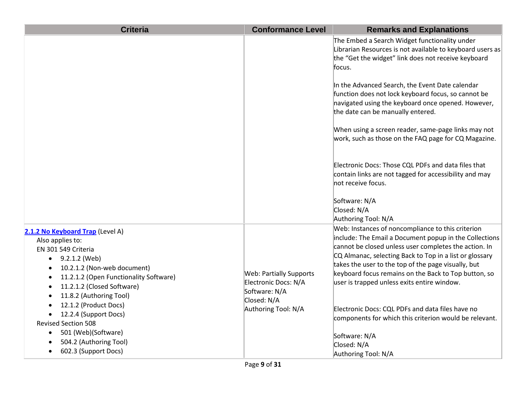| <b>Criteria</b>                                                                                                                                                                                                                                                                                                                                                                                                                                                                    | <b>Conformance Level</b>                                                                                      | <b>Remarks and Explanations</b>                                                                                                                                                                                                                                                                                                                                                                                                                                                                                                                                                                                                                                                               |
|------------------------------------------------------------------------------------------------------------------------------------------------------------------------------------------------------------------------------------------------------------------------------------------------------------------------------------------------------------------------------------------------------------------------------------------------------------------------------------|---------------------------------------------------------------------------------------------------------------|-----------------------------------------------------------------------------------------------------------------------------------------------------------------------------------------------------------------------------------------------------------------------------------------------------------------------------------------------------------------------------------------------------------------------------------------------------------------------------------------------------------------------------------------------------------------------------------------------------------------------------------------------------------------------------------------------|
|                                                                                                                                                                                                                                                                                                                                                                                                                                                                                    |                                                                                                               | The Embed a Search Widget functionality under<br>Librarian Resources is not available to keyboard users as<br>the "Get the widget" link does not receive keyboard<br>focus.<br>In the Advanced Search, the Event Date calendar<br>function does not lock keyboard focus, so cannot be<br>navigated using the keyboard once opened. However,<br>the date can be manually entered.<br>When using a screen reader, same-page links may not<br>work, such as those on the FAQ page for CQ Magazine.<br>Electronic Docs: Those CQL PDFs and data files that<br>contain links are not tagged for accessibility and may<br>not receive focus.<br>Software: N/A<br>Closed: N/A<br>Authoring Tool: N/A |
| 2.1.2 No Keyboard Trap (Level A)<br>Also applies to:<br>EN 301 549 Criteria<br>9.2.1.2 (Web)<br>$\bullet$<br>10.2.1.2 (Non-web document)<br>$\bullet$<br>11.2.1.2 (Open Functionality Software)<br>$\bullet$<br>11.2.1.2 (Closed Software)<br>$\bullet$<br>11.8.2 (Authoring Tool)<br>$\bullet$<br>12.1.2 (Product Docs)<br>12.2.4 (Support Docs)<br><b>Revised Section 508</b><br>501 (Web)(Software)<br>$\bullet$<br>504.2 (Authoring Tool)<br>602.3 (Support Docs)<br>$\bullet$ | <b>Web: Partially Supports</b><br>Electronic Docs: N/A<br>Software: N/A<br>Closed: N/A<br>Authoring Tool: N/A | Web: Instances of noncompliance to this criterion<br>include: The Email a Document popup in the Collections<br>cannot be closed unless user completes the action. In<br>CQ Almanac, selecting Back to Top in a list or glossary<br>takes the user to the top of the page visually, but<br>keyboard focus remains on the Back to Top button, so<br>user is trapped unless exits entire window.<br>Electronic Docs: CQL PDFs and data files have no<br>components for which this criterion would be relevant.<br>Software: N/A<br>Closed: N/A<br>Authoring Tool: N/A                                                                                                                            |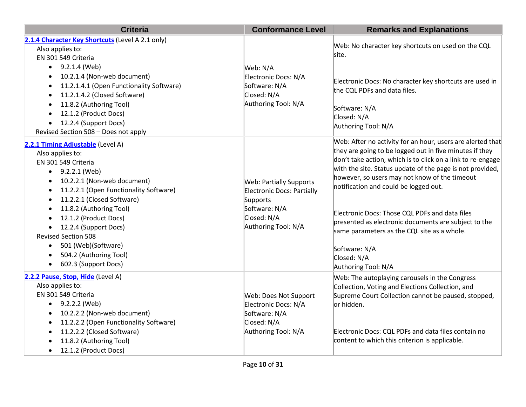| <b>Criteria</b>                                                                                                                                                                                                                                                                                                                                                                                                                                           | <b>Conformance Level</b>                                                                                                        | <b>Remarks and Explanations</b>                                                                                                                                                                                                                                                                                                                                                                                                                                                                                                                             |
|-----------------------------------------------------------------------------------------------------------------------------------------------------------------------------------------------------------------------------------------------------------------------------------------------------------------------------------------------------------------------------------------------------------------------------------------------------------|---------------------------------------------------------------------------------------------------------------------------------|-------------------------------------------------------------------------------------------------------------------------------------------------------------------------------------------------------------------------------------------------------------------------------------------------------------------------------------------------------------------------------------------------------------------------------------------------------------------------------------------------------------------------------------------------------------|
| 2.1.4 Character Key Shortcuts (Level A 2.1 only)<br>Also applies to:<br>EN 301 549 Criteria                                                                                                                                                                                                                                                                                                                                                               |                                                                                                                                 | Web: No character key shortcuts on used on the CQL<br>site.                                                                                                                                                                                                                                                                                                                                                                                                                                                                                                 |
| 9.2.1.4 (Web)<br>$\bullet$<br>10.2.1.4 (Non-web document)<br>11.2.1.4.1 (Open Functionality Software)<br>11.2.1.4.2 (Closed Software)<br>11.8.2 (Authoring Tool)<br>12.1.2 (Product Docs)<br>$\bullet$<br>12.2.4 (Support Docs)<br>$\bullet$<br>Revised Section 508 - Does not apply                                                                                                                                                                      | Web: N/A<br>Electronic Docs: N/A<br>Software: N/A<br>Closed: N/A<br>Authoring Tool: N/A                                         | Electronic Docs: No character key shortcuts are used in<br>the CQL PDFs and data files.<br>Software: N/A<br>Closed: N/A<br>Authoring Tool: N/A                                                                                                                                                                                                                                                                                                                                                                                                              |
| 2.2.1 Timing Adjustable (Level A)<br>Also applies to:<br>EN 301 549 Criteria<br>9.2.2.1 (Web)<br>$\bullet$<br>10.2.2.1 (Non-web document)<br>$\bullet$<br>11.2.2.1 (Open Functionality Software)<br>$\bullet$<br>11.2.2.1 (Closed Software)<br>$\bullet$<br>11.8.2 (Authoring Tool)<br>$\bullet$<br>12.1.2 (Product Docs)<br>12.2.4 (Support Docs)<br><b>Revised Section 508</b><br>501 (Web)(Software)<br>504.2 (Authoring Tool)<br>602.3 (Support Docs) | <b>Web: Partially Supports</b><br>Electronic Docs: Partially<br>Supports<br>Software: N/A<br>Closed: N/A<br>Authoring Tool: N/A | Web: After no activity for an hour, users are alerted that<br>they are going to be logged out in five minutes if they<br>don't take action, which is to click on a link to re-engage<br>with the site. Status update of the page is not provided,<br>however, so users may not know of the timeout<br>notification and could be logged out.<br>Electronic Docs: Those CQL PDFs and data files<br>presented as electronic documents are subject to the<br>same parameters as the CQL site as a whole.<br>Software: N/A<br>Closed: N/A<br>Authoring Tool: N/A |
| 2.2.2 Pause, Stop, Hide (Level A)<br>Also applies to:<br>EN 301 549 Criteria<br>9.2.2.2 (Web)<br>10.2.2.2 (Non-web document)<br>11.2.2.2 (Open Functionality Software)<br>$\bullet$<br>11.2.2.2 (Closed Software)<br>$\bullet$<br>11.8.2 (Authoring Tool)<br>12.1.2 (Product Docs)<br>$\bullet$                                                                                                                                                           | Web: Does Not Support<br>Electronic Docs: N/A<br>Software: N/A<br>Closed: N/A<br>Authoring Tool: N/A                            | Web: The autoplaying carousels in the Congress<br>Collection, Voting and Elections Collection, and<br>Supreme Court Collection cannot be paused, stopped,<br>or hidden.<br>Electronic Docs: CQL PDFs and data files contain no<br>content to which this criterion is applicable.                                                                                                                                                                                                                                                                            |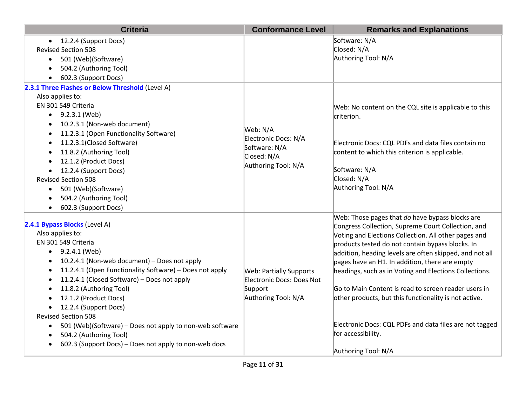| <b>Criteria</b>                                                                                                                                                                                                                                                                                                                                                                                                                                                                                                                                                                          | <b>Conformance Level</b>                                                                      | <b>Remarks and Explanations</b>                                                                                                                                                                                                                                                                                                                                                                                                                                                                                                                                                                                   |
|------------------------------------------------------------------------------------------------------------------------------------------------------------------------------------------------------------------------------------------------------------------------------------------------------------------------------------------------------------------------------------------------------------------------------------------------------------------------------------------------------------------------------------------------------------------------------------------|-----------------------------------------------------------------------------------------------|-------------------------------------------------------------------------------------------------------------------------------------------------------------------------------------------------------------------------------------------------------------------------------------------------------------------------------------------------------------------------------------------------------------------------------------------------------------------------------------------------------------------------------------------------------------------------------------------------------------------|
| • 12.2.4 (Support Docs)<br><b>Revised Section 508</b><br>501 (Web)(Software)<br>$\bullet$<br>504.2 (Authoring Tool)<br>602.3 (Support Docs)                                                                                                                                                                                                                                                                                                                                                                                                                                              |                                                                                               | Software: N/A<br>Closed: N/A<br>Authoring Tool: N/A                                                                                                                                                                                                                                                                                                                                                                                                                                                                                                                                                               |
| 2.3.1 Three Flashes or Below Threshold (Level A)                                                                                                                                                                                                                                                                                                                                                                                                                                                                                                                                         |                                                                                               |                                                                                                                                                                                                                                                                                                                                                                                                                                                                                                                                                                                                                   |
| Also applies to:<br>EN 301 549 Criteria<br>9.2.3.1 (Web)<br>$\bullet$<br>10.2.3.1 (Non-web document)<br>$\bullet$<br>11.2.3.1 (Open Functionality Software)<br>11.2.3.1(Closed Software)<br>11.8.2 (Authoring Tool)<br>12.1.2 (Product Docs)<br>12.2.4 (Support Docs)<br><b>Revised Section 508</b><br>501 (Web)(Software)<br>$\bullet$<br>504.2 (Authoring Tool)<br>602.3 (Support Docs)<br>$\bullet$                                                                                                                                                                                   | Web: N/A<br>Electronic Docs: N/A<br>Software: N/A<br>Closed: N/A<br>Authoring Tool: N/A       | Web: No content on the CQL site is applicable to this<br>criterion.<br>Electronic Docs: CQL PDFs and data files contain no<br>content to which this criterion is applicable.<br>Software: N/A<br>Closed: N/A<br>Authoring Tool: N/A                                                                                                                                                                                                                                                                                                                                                                               |
| 2.4.1 Bypass Blocks (Level A)<br>Also applies to:<br>EN 301 549 Criteria<br>$\bullet$ 9.2.4.1 (Web)<br>10.2.4.1 (Non-web document) - Does not apply<br>11.2.4.1 (Open Functionality Software) - Does not apply<br>$\bullet$<br>11.2.4.1 (Closed Software) - Does not apply<br>11.8.2 (Authoring Tool)<br>$\bullet$<br>12.1.2 (Product Docs)<br>12.2.4 (Support Docs)<br>$\bullet$<br><b>Revised Section 508</b><br>501 (Web)(Software) - Does not apply to non-web software<br>$\bullet$<br>504.2 (Authoring Tool)<br>$\bullet$<br>602.3 (Support Docs) - Does not apply to non-web docs | <b>Web: Partially Supports</b><br>Electronic Docs: Does Not<br>Support<br>Authoring Tool: N/A | Web: Those pages that do have bypass blocks are<br>Congress Collection, Supreme Court Collection, and<br>Voting and Elections Collection. All other pages and<br>products tested do not contain bypass blocks. In<br>addition, heading levels are often skipped, and not all<br>pages have an H1. In addition, there are empty<br>headings, such as in Voting and Elections Collections.<br>Go to Main Content is read to screen reader users in<br>other products, but this functionality is not active.<br>Electronic Docs: CQL PDFs and data files are not tagged<br>for accessibility.<br>Authoring Tool: N/A |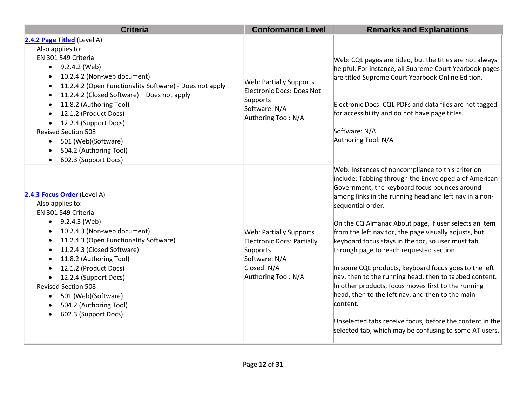| <b>Criteria</b>                                                                                                                                                                                                                                                                                                                                                                                                                                             | <b>Conformance Level</b>                                                                                                        | <b>Remarks and Explanations</b>                                                                                                                                                                                                                                                                                                                                                                                                                                                                                                                                                                                                                                                                                                                                                                                               |
|-------------------------------------------------------------------------------------------------------------------------------------------------------------------------------------------------------------------------------------------------------------------------------------------------------------------------------------------------------------------------------------------------------------------------------------------------------------|---------------------------------------------------------------------------------------------------------------------------------|-------------------------------------------------------------------------------------------------------------------------------------------------------------------------------------------------------------------------------------------------------------------------------------------------------------------------------------------------------------------------------------------------------------------------------------------------------------------------------------------------------------------------------------------------------------------------------------------------------------------------------------------------------------------------------------------------------------------------------------------------------------------------------------------------------------------------------|
| 2.4.2 Page Titled (Level A)<br>Also applies to:<br>EN 301 549 Criteria<br>9.2.4.2 (Web)<br>10.2.4.2 (Non-web document)<br>11.2.4.2 (Open Functionality Software) - Does not apply<br>$\bullet$<br>11.2.4.2 (Closed Software) - Does not apply<br>$\bullet$<br>11.8.2 (Authoring Tool)<br>12.1.2 (Product Docs)<br>12.2.4 (Support Docs)<br><b>Revised Section 508</b><br>501 (Web)(Software)<br>$\bullet$<br>504.2 (Authoring Tool)<br>602.3 (Support Docs) | <b>Web: Partially Supports</b><br>Electronic Docs: Does Not<br>Supports<br>Software: N/A<br>Authoring Tool: N/A                 | Web: CQL pages are titled, but the titles are not always<br>helpful. For instance, all Supreme Court Yearbook pages<br>are titled Supreme Court Yearbook Online Edition.<br>Electronic Docs: CQL PDFs and data files are not tagged<br>for accessibility and do not have page titles.<br>Software: N/A<br>Authoring Tool: N/A                                                                                                                                                                                                                                                                                                                                                                                                                                                                                                 |
| 2.4.3 Focus Order (Level A)<br>Also applies to:<br>EN 301 549 Criteria<br>9.2.4.3 (Web)<br>$\bullet$<br>10.2.4.3 (Non-web document)<br>$\bullet$<br>11.2.4.3 (Open Functionality Software)<br>$\bullet$<br>11.2.4.3 (Closed Software)<br>11.8.2 (Authoring Tool)<br>12.1.2 (Product Docs)<br>12.2.4 (Support Docs)<br><b>Revised Section 508</b><br>501 (Web)(Software)<br>$\bullet$<br>504.2 (Authoring Tool)<br>$\bullet$<br>602.3 (Support Docs)         | <b>Web: Partially Supports</b><br>Electronic Docs: Partially<br>Supports<br>Software: N/A<br>Closed: N/A<br>Authoring Tool: N/A | Web: Instances of noncompliance to this criterion<br>include: Tabbing through the Encyclopedia of American<br>Government, the keyboard focus bounces around<br>among links in the running head and left nav in a non-<br>sequential order.<br>On the CQ Almanac About page, if user selects an item<br>from the left nav toc, the page visually adjusts, but<br>keyboard focus stays in the toc, so user must tab<br>through page to reach requested section.<br>In some CQL products, keyboard focus goes to the left<br>nav, then to the running head, then to tabbed content.<br>In other products, focus moves first to the running<br>head, then to the left nav, and then to the main<br>content.<br>Unselected tabs receive focus, before the content in the<br>selected tab, which may be confusing to some AT users. |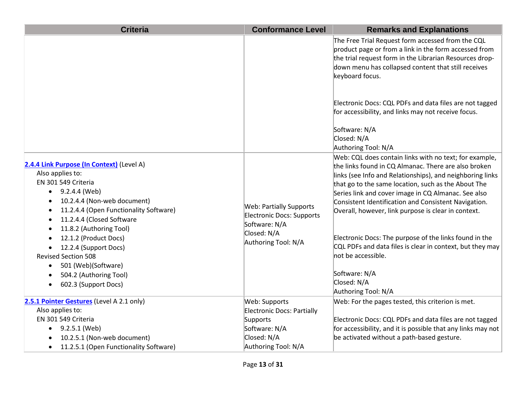| <b>Criteria</b>                                                                                                                                                                                                                                                                                                                                                                                                                                                                                         | <b>Conformance Level</b>                                                                                           | <b>Remarks and Explanations</b>                                                                                                                                                                                                                                                                                                                                                                                                                                                                                                                                                                              |
|---------------------------------------------------------------------------------------------------------------------------------------------------------------------------------------------------------------------------------------------------------------------------------------------------------------------------------------------------------------------------------------------------------------------------------------------------------------------------------------------------------|--------------------------------------------------------------------------------------------------------------------|--------------------------------------------------------------------------------------------------------------------------------------------------------------------------------------------------------------------------------------------------------------------------------------------------------------------------------------------------------------------------------------------------------------------------------------------------------------------------------------------------------------------------------------------------------------------------------------------------------------|
|                                                                                                                                                                                                                                                                                                                                                                                                                                                                                                         |                                                                                                                    | The Free Trial Request form accessed from the CQL<br>product page or from a link in the form accessed from<br>the trial request form in the Librarian Resources drop-<br>down menu has collapsed content that still receives<br>keyboard focus.                                                                                                                                                                                                                                                                                                                                                              |
|                                                                                                                                                                                                                                                                                                                                                                                                                                                                                                         |                                                                                                                    | Electronic Docs: CQL PDFs and data files are not tagged<br>for accessibility, and links may not receive focus.                                                                                                                                                                                                                                                                                                                                                                                                                                                                                               |
|                                                                                                                                                                                                                                                                                                                                                                                                                                                                                                         |                                                                                                                    | Software: N/A<br>Closed: N/A<br>Authoring Tool: N/A                                                                                                                                                                                                                                                                                                                                                                                                                                                                                                                                                          |
| 2.4.4 Link Purpose (In Context) (Level A)<br>Also applies to:<br>EN 301 549 Criteria<br>9.2.4.4 (Web)<br>$\bullet$<br>10.2.4.4 (Non-web document)<br>$\bullet$<br>11.2.4.4 (Open Functionality Software)<br>$\bullet$<br>11.2.4.4 (Closed Software<br>$\bullet$<br>11.8.2 (Authoring Tool)<br>12.1.2 (Product Docs)<br>12.2.4 (Support Docs)<br>$\bullet$<br><b>Revised Section 508</b><br>501 (Web)(Software)<br>$\bullet$<br>504.2 (Authoring Tool)<br>$\bullet$<br>602.3 (Support Docs)<br>$\bullet$ | <b>Web: Partially Supports</b><br>Electronic Docs: Supports<br>Software: N/A<br>Closed: N/A<br>Authoring Tool: N/A | Web: CQL does contain links with no text; for example,<br>the links found in CQ Almanac. There are also broken<br>links (see Info and Relationships), and neighboring links<br>that go to the same location, such as the About The<br>Series link and cover image in CQ Almanac. See also<br>Consistent Identification and Consistent Navigation.<br>Overall, however, link purpose is clear in context.<br>Electronic Docs: The purpose of the links found in the<br>CQL PDFs and data files is clear in context, but they may<br>not be accessible.<br>Software: N/A<br>Closed: N/A<br>Authoring Tool: N/A |
| 2.5.1 Pointer Gestures (Level A 2.1 only)                                                                                                                                                                                                                                                                                                                                                                                                                                                               | Web: Supports                                                                                                      | Web: For the pages tested, this criterion is met.                                                                                                                                                                                                                                                                                                                                                                                                                                                                                                                                                            |
| Also applies to:                                                                                                                                                                                                                                                                                                                                                                                                                                                                                        | <b>Electronic Docs: Partially</b>                                                                                  |                                                                                                                                                                                                                                                                                                                                                                                                                                                                                                                                                                                                              |
| EN 301 549 Criteria                                                                                                                                                                                                                                                                                                                                                                                                                                                                                     | Supports                                                                                                           | Electronic Docs: CQL PDFs and data files are not tagged                                                                                                                                                                                                                                                                                                                                                                                                                                                                                                                                                      |
| 9.2.5.1 (Web)<br>$\bullet$                                                                                                                                                                                                                                                                                                                                                                                                                                                                              | Software: N/A                                                                                                      | for accessibility, and it is possible that any links may not                                                                                                                                                                                                                                                                                                                                                                                                                                                                                                                                                 |
| 10.2.5.1 (Non-web document)                                                                                                                                                                                                                                                                                                                                                                                                                                                                             | Closed: N/A                                                                                                        | be activated without a path-based gesture.                                                                                                                                                                                                                                                                                                                                                                                                                                                                                                                                                                   |
| 11.2.5.1 (Open Functionality Software)<br>$\bullet$                                                                                                                                                                                                                                                                                                                                                                                                                                                     | Authoring Tool: N/A                                                                                                |                                                                                                                                                                                                                                                                                                                                                                                                                                                                                                                                                                                                              |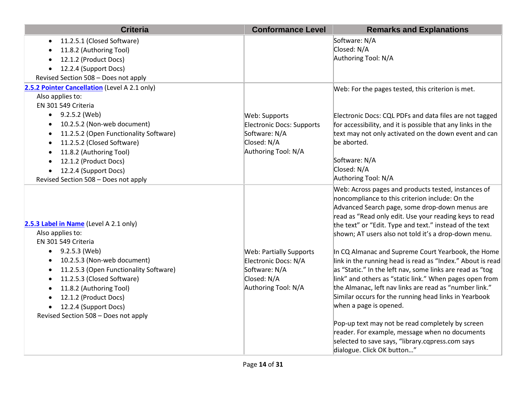| <b>Criteria</b>                                                                                                                                                                                                                                                                                                                                                                    | <b>Conformance Level</b>                                                                                      | <b>Remarks and Explanations</b>                                                                                                                                                                                                                                                                                                                                                                                                                                                                                                                                                                                                                                                                                                                                                                                                                                                                                        |
|------------------------------------------------------------------------------------------------------------------------------------------------------------------------------------------------------------------------------------------------------------------------------------------------------------------------------------------------------------------------------------|---------------------------------------------------------------------------------------------------------------|------------------------------------------------------------------------------------------------------------------------------------------------------------------------------------------------------------------------------------------------------------------------------------------------------------------------------------------------------------------------------------------------------------------------------------------------------------------------------------------------------------------------------------------------------------------------------------------------------------------------------------------------------------------------------------------------------------------------------------------------------------------------------------------------------------------------------------------------------------------------------------------------------------------------|
| 11.2.5.1 (Closed Software)                                                                                                                                                                                                                                                                                                                                                         |                                                                                                               | Software: N/A                                                                                                                                                                                                                                                                                                                                                                                                                                                                                                                                                                                                                                                                                                                                                                                                                                                                                                          |
| 11.8.2 (Authoring Tool)                                                                                                                                                                                                                                                                                                                                                            |                                                                                                               | Closed: N/A                                                                                                                                                                                                                                                                                                                                                                                                                                                                                                                                                                                                                                                                                                                                                                                                                                                                                                            |
| 12.1.2 (Product Docs)                                                                                                                                                                                                                                                                                                                                                              |                                                                                                               | Authoring Tool: N/A                                                                                                                                                                                                                                                                                                                                                                                                                                                                                                                                                                                                                                                                                                                                                                                                                                                                                                    |
| 12.2.4 (Support Docs)                                                                                                                                                                                                                                                                                                                                                              |                                                                                                               |                                                                                                                                                                                                                                                                                                                                                                                                                                                                                                                                                                                                                                                                                                                                                                                                                                                                                                                        |
| Revised Section 508 - Does not apply                                                                                                                                                                                                                                                                                                                                               |                                                                                                               |                                                                                                                                                                                                                                                                                                                                                                                                                                                                                                                                                                                                                                                                                                                                                                                                                                                                                                                        |
| 2.5.2 Pointer Cancellation (Level A 2.1 only)                                                                                                                                                                                                                                                                                                                                      |                                                                                                               | Web: For the pages tested, this criterion is met.                                                                                                                                                                                                                                                                                                                                                                                                                                                                                                                                                                                                                                                                                                                                                                                                                                                                      |
| Also applies to:                                                                                                                                                                                                                                                                                                                                                                   |                                                                                                               |                                                                                                                                                                                                                                                                                                                                                                                                                                                                                                                                                                                                                                                                                                                                                                                                                                                                                                                        |
| EN 301 549 Criteria                                                                                                                                                                                                                                                                                                                                                                |                                                                                                               |                                                                                                                                                                                                                                                                                                                                                                                                                                                                                                                                                                                                                                                                                                                                                                                                                                                                                                                        |
| 9.2.5.2 (Web)<br>$\bullet$                                                                                                                                                                                                                                                                                                                                                         | Web: Supports                                                                                                 | Electronic Docs: CQL PDFs and data files are not tagged                                                                                                                                                                                                                                                                                                                                                                                                                                                                                                                                                                                                                                                                                                                                                                                                                                                                |
| 10.2.5.2 (Non-web document)                                                                                                                                                                                                                                                                                                                                                        | <b>Electronic Docs: Supports</b>                                                                              | for accessibility, and it is possible that any links in the                                                                                                                                                                                                                                                                                                                                                                                                                                                                                                                                                                                                                                                                                                                                                                                                                                                            |
| 11.2.5.2 (Open Functionality Software)<br>$\bullet$                                                                                                                                                                                                                                                                                                                                | Software: N/A                                                                                                 | text may not only activated on the down event and can                                                                                                                                                                                                                                                                                                                                                                                                                                                                                                                                                                                                                                                                                                                                                                                                                                                                  |
| 11.2.5.2 (Closed Software)<br>$\bullet$                                                                                                                                                                                                                                                                                                                                            | Closed: N/A                                                                                                   | be aborted.                                                                                                                                                                                                                                                                                                                                                                                                                                                                                                                                                                                                                                                                                                                                                                                                                                                                                                            |
| 11.8.2 (Authoring Tool)                                                                                                                                                                                                                                                                                                                                                            | Authoring Tool: N/A                                                                                           |                                                                                                                                                                                                                                                                                                                                                                                                                                                                                                                                                                                                                                                                                                                                                                                                                                                                                                                        |
| 12.1.2 (Product Docs)                                                                                                                                                                                                                                                                                                                                                              |                                                                                                               | Software: N/A                                                                                                                                                                                                                                                                                                                                                                                                                                                                                                                                                                                                                                                                                                                                                                                                                                                                                                          |
| 12.2.4 (Support Docs)                                                                                                                                                                                                                                                                                                                                                              |                                                                                                               | Closed: N/A                                                                                                                                                                                                                                                                                                                                                                                                                                                                                                                                                                                                                                                                                                                                                                                                                                                                                                            |
| Revised Section 508 - Does not apply                                                                                                                                                                                                                                                                                                                                               |                                                                                                               | Authoring Tool: N/A                                                                                                                                                                                                                                                                                                                                                                                                                                                                                                                                                                                                                                                                                                                                                                                                                                                                                                    |
| 2.5.3 Label in Name (Level A 2.1 only)<br>Also applies to:<br>EN 301 549 Criteria<br>9.2.5.3 (Web)<br>$\bullet$<br>10.2.5.3 (Non-web document)<br>11.2.5.3 (Open Functionality Software)<br>11.2.5.3 (Closed Software)<br>11.8.2 (Authoring Tool)<br>$\bullet$<br>12.1.2 (Product Docs)<br>$\bullet$<br>12.2.4 (Support Docs)<br>$\bullet$<br>Revised Section 508 - Does not apply | <b>Web: Partially Supports</b><br>Electronic Docs: N/A<br>Software: N/A<br>Closed: N/A<br>Authoring Tool: N/A | Web: Across pages and products tested, instances of<br>noncompliance to this criterion include: On the<br>Advanced Search page, some drop-down menus are<br>read as "Read only edit. Use your reading keys to read<br>the text" or "Edit. Type and text." instead of the text<br>shown; AT users also not told it's a drop-down menu.<br>In CQ Almanac and Supreme Court Yearbook, the Home<br>link in the running head is read as "Index." About is read<br>as "Static." In the left nav, some links are read as "tog<br>link" and others as "static link." When pages open from<br>the Almanac, left nav links are read as "number link."<br>Similar occurs for the running head links in Yearbook<br>when a page is opened.<br>Pop-up text may not be read completely by screen<br>reader. For example, message when no documents<br>selected to save says, "library.cqpress.com says<br>dialogue. Click OK button" |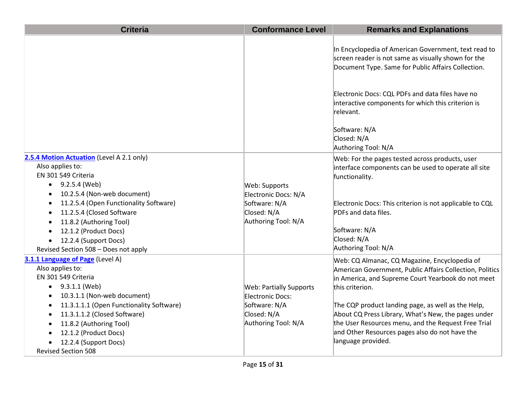| <b>Criteria</b>                                                                                                                                                                                                                                                                                                                                           | <b>Conformance Level</b>                                                                                  | <b>Remarks and Explanations</b>                                                                                                                                                                                                                                                                                                                                                                                                |
|-----------------------------------------------------------------------------------------------------------------------------------------------------------------------------------------------------------------------------------------------------------------------------------------------------------------------------------------------------------|-----------------------------------------------------------------------------------------------------------|--------------------------------------------------------------------------------------------------------------------------------------------------------------------------------------------------------------------------------------------------------------------------------------------------------------------------------------------------------------------------------------------------------------------------------|
|                                                                                                                                                                                                                                                                                                                                                           |                                                                                                           | In Encyclopedia of American Government, text read to<br>screen reader is not same as visually shown for the<br>Document Type. Same for Public Affairs Collection.                                                                                                                                                                                                                                                              |
|                                                                                                                                                                                                                                                                                                                                                           |                                                                                                           | Electronic Docs: CQL PDFs and data files have no<br>interactive components for which this criterion is<br>relevant.                                                                                                                                                                                                                                                                                                            |
|                                                                                                                                                                                                                                                                                                                                                           |                                                                                                           | Software: N/A<br>Closed: N/A<br>Authoring Tool: N/A                                                                                                                                                                                                                                                                                                                                                                            |
| 2.5.4 Motion Actuation (Level A 2.1 only)<br>Also applies to:<br>EN 301 549 Criteria<br>9.2.5.4 (Web)<br>$\bullet$<br>10.2.5.4 (Non-web document)<br>٠<br>11.2.5.4 (Open Functionality Software)<br>$\bullet$<br>11.2.5.4 (Closed Software<br>$\bullet$                                                                                                   | Web: Supports<br>Electronic Docs: N/A<br>Software: N/A<br>Closed: N/A                                     | Web: For the pages tested across products, user<br>interface components can be used to operate all site<br>functionality.<br>Electronic Docs: This criterion is not applicable to CQL<br>PDFs and data files.                                                                                                                                                                                                                  |
| 11.8.2 (Authoring Tool)<br>12.1.2 (Product Docs)<br>12.2.4 (Support Docs)<br>$\bullet$<br>Revised Section 508 - Does not apply                                                                                                                                                                                                                            | Authoring Tool: N/A                                                                                       | Software: N/A<br>Closed: N/A<br>Authoring Tool: N/A                                                                                                                                                                                                                                                                                                                                                                            |
| 3.1.1 Language of Page (Level A)<br>Also applies to:<br>EN 301 549 Criteria<br>9.3.1.1 (Web)<br>$\bullet$<br>10.3.1.1 (Non-web document)<br>11.3.1.1.1 (Open Functionality Software)<br>11.3.1.1.2 (Closed Software)<br>$\bullet$<br>11.8.2 (Authoring Tool)<br>$\bullet$<br>12.1.2 (Product Docs)<br>12.2.4 (Support Docs)<br><b>Revised Section 508</b> | <b>Web: Partially Supports</b><br>Electronic Docs:<br>Software: N/A<br>Closed: N/A<br>Authoring Tool: N/A | Web: CQ Almanac, CQ Magazine, Encyclopedia of<br>American Government, Public Affairs Collection, Politics<br>in America, and Supreme Court Yearbook do not meet<br>this criterion.<br>The CQP product landing page, as well as the Help,<br>About CQ Press Library, What's New, the pages under<br>the User Resources menu, and the Request Free Trial<br>and Other Resources pages also do not have the<br>language provided. |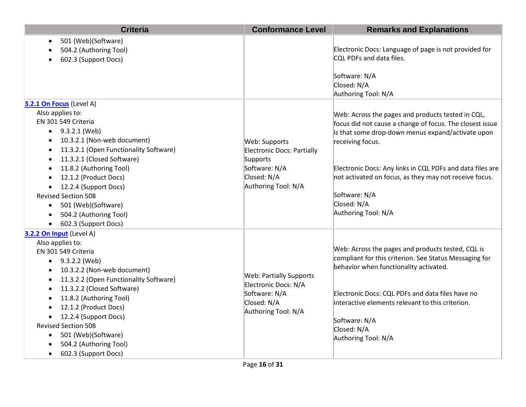| <b>Criteria</b>                                                                                                                                                                                                                                                                                                                                                                                                                                                            | <b>Conformance Level</b>                                                                                       | <b>Remarks and Explanations</b>                                                                                                                                                                                                                                                                                                                                      |
|----------------------------------------------------------------------------------------------------------------------------------------------------------------------------------------------------------------------------------------------------------------------------------------------------------------------------------------------------------------------------------------------------------------------------------------------------------------------------|----------------------------------------------------------------------------------------------------------------|----------------------------------------------------------------------------------------------------------------------------------------------------------------------------------------------------------------------------------------------------------------------------------------------------------------------------------------------------------------------|
| 501 (Web)(Software)<br>$\bullet$<br>504.2 (Authoring Tool)<br>602.3 (Support Docs)                                                                                                                                                                                                                                                                                                                                                                                         |                                                                                                                | Electronic Docs: Language of page is not provided for<br>CQL PDFs and data files.<br>Software: N/A<br>Closed: N/A<br>Authoring Tool: N/A                                                                                                                                                                                                                             |
| 3.2.1 On Focus (Level A)<br>Also applies to:<br>EN 301 549 Criteria<br>9.3.2.1 (Web)<br>$\bullet$<br>10.3.2.1 (Non-web document)<br>11.3.2.1 (Open Functionality Software)<br>$\bullet$<br>11.3.2.1 (Closed Software)<br>$\bullet$<br>11.8.2 (Authoring Tool)<br>12.1.2 (Product Docs)<br>$\bullet$<br>12.2.4 (Support Docs)<br>$\bullet$<br><b>Revised Section 508</b><br>501 (Web)(Software)<br>$\bullet$<br>504.2 (Authoring Tool)<br>$\bullet$<br>602.3 (Support Docs) | Web: Supports<br>Electronic Docs: Partially<br>Supports<br>Software: N/A<br>Closed: N/A<br>Authoring Tool: N/A | Web: Across the pages and products tested in CQL,<br>focus did not cause a change of focus. The closest issue<br>is that some drop-down menus expand/activate upon<br>receiving focus.<br>Electronic Docs: Any links in CQL PDFs and data files are<br>not activated on focus, as they may not receive focus.<br>Software: N/A<br>Closed: N/A<br>Authoring Tool: N/A |
| 3.2.2 On Input (Level A)<br>Also applies to:<br>EN 301 549 Criteria<br>9.3.2.2 (Web)<br>$\bullet$<br>10.3.2.2 (Non-web document)<br>٠<br>11.3.2.2 (Open Functionality Software)<br>$\bullet$<br>11.3.2.2 (Closed Software)<br>٠<br>11.8.2 (Authoring Tool)<br>12.1.2 (Product Docs)<br>12.2.4 (Support Docs)<br>$\bullet$<br><b>Revised Section 508</b><br>501 (Web)(Software)<br>$\bullet$<br>504.2 (Authoring Tool)<br>602.3 (Support Docs)<br>$\bullet$                 | <b>Web: Partially Supports</b><br>Electronic Docs: N/A<br>Software: N/A<br>Closed: N/A<br>Authoring Tool: N/A  | Web: Across the pages and products tested, CQL is<br>compliant for this criterion. See Status Messaging for<br>behavior when functionality activated.<br>Electronic Docs: CQL PDFs and data files have no<br>interactive elements relevant to this criterion.<br>Software: N/A<br>Closed: N/A<br>Authoring Tool: N/A                                                 |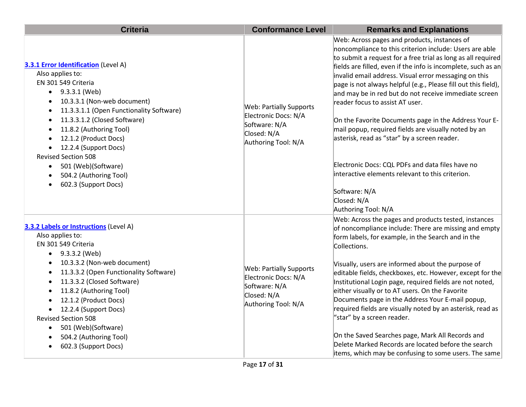| <b>Criteria</b>                                                                                                                                                                                                                                                                                                                                                                                                                                                                                                                          | <b>Conformance Level</b>                                                                                      | <b>Remarks and Explanations</b>                                                                                                                                                                                                                                                                                                                                                                                                                                                                                                                                                                                                                                                                                                                                                                 |
|------------------------------------------------------------------------------------------------------------------------------------------------------------------------------------------------------------------------------------------------------------------------------------------------------------------------------------------------------------------------------------------------------------------------------------------------------------------------------------------------------------------------------------------|---------------------------------------------------------------------------------------------------------------|-------------------------------------------------------------------------------------------------------------------------------------------------------------------------------------------------------------------------------------------------------------------------------------------------------------------------------------------------------------------------------------------------------------------------------------------------------------------------------------------------------------------------------------------------------------------------------------------------------------------------------------------------------------------------------------------------------------------------------------------------------------------------------------------------|
| <b>3.3.1 Error Identification</b> (Level A)<br>Also applies to:<br>EN 301 549 Criteria<br>9.3.3.1 (Web)<br>$\bullet$<br>10.3.3.1 (Non-web document)<br>$\bullet$<br>11.3.3.1.1 (Open Functionality Software)<br>$\bullet$<br>11.3.3.1.2 (Closed Software)<br>$\bullet$<br>11.8.2 (Authoring Tool)<br>$\bullet$<br>12.1.2 (Product Docs)<br>$\bullet$<br>12.2.4 (Support Docs)<br>$\bullet$<br><b>Revised Section 508</b><br>501 (Web)(Software)<br>$\bullet$<br>504.2 (Authoring Tool)<br>$\bullet$<br>602.3 (Support Docs)<br>$\bullet$ | <b>Web: Partially Supports</b><br>Electronic Docs: N/A<br>Software: N/A<br>Closed: N/A<br>Authoring Tool: N/A | Web: Across pages and products, instances of<br>noncompliance to this criterion include: Users are able<br>to submit a request for a free trial as long as all required<br>fields are filled, even if the info is incomplete, such as an<br>invalid email address. Visual error messaging on this<br>page is not always helpful (e.g., Please fill out this field),<br>and may be in red but do not receive immediate screen<br>reader focus to assist AT user.<br>On the Favorite Documents page in the Address Your E-<br>mail popup, required fields are visually noted by an<br>asterisk, read as "star" by a screen reader.<br>Electronic Docs: CQL PDFs and data files have no<br>interactive elements relevant to this criterion.<br>Software: N/A<br>Closed: N/A<br>Authoring Tool: N/A |
| <b>3.3.2 Labels or Instructions (Level A)</b><br>Also applies to:<br>EN 301 549 Criteria<br>9.3.3.2 (Web)<br>$\bullet$<br>10.3.3.2 (Non-web document)<br>$\bullet$<br>11.3.3.2 (Open Functionality Software)<br>$\bullet$<br>11.3.3.2 (Closed Software)<br>$\bullet$<br>11.8.2 (Authoring Tool)<br>$\bullet$<br>12.1.2 (Product Docs)<br>12.2.4 (Support Docs)<br>$\bullet$<br><b>Revised Section 508</b><br>501 (Web)(Software)<br>$\bullet$<br>504.2 (Authoring Tool)<br>602.3 (Support Docs)<br>$\bullet$                             | <b>Web: Partially Supports</b><br>Electronic Docs: N/A<br>Software: N/A<br>Closed: N/A<br>Authoring Tool: N/A | Web: Across the pages and products tested, instances<br>of noncompliance include: There are missing and empty<br>form labels, for example, in the Search and in the<br>Collections.<br>Visually, users are informed about the purpose of<br>editable fields, checkboxes, etc. However, except for the<br>Institutional Login page, required fields are not noted,<br>either visually or to AT users. On the Favorite<br>Documents page in the Address Your E-mail popup,<br>required fields are visually noted by an asterisk, read as<br>"star" by a screen reader.<br>On the Saved Searches page, Mark All Records and<br>Delete Marked Records are located before the search<br>items, which may be confusing to some users. The same                                                        |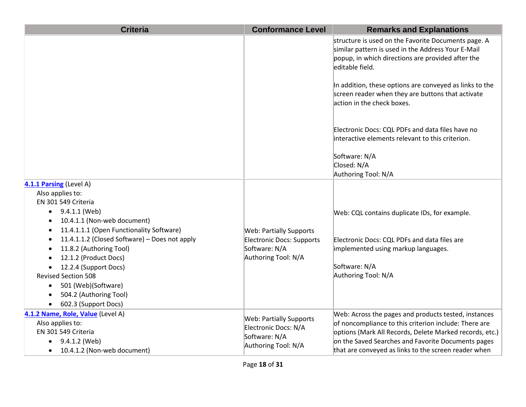| <b>Criteria</b>                                                  | <b>Conformance Level</b>       | <b>Remarks and Explanations</b>                                                                                                                                                   |
|------------------------------------------------------------------|--------------------------------|-----------------------------------------------------------------------------------------------------------------------------------------------------------------------------------|
|                                                                  |                                | structure is used on the Favorite Documents page. A<br>similar pattern is used in the Address Your E-Mail<br>popup, in which directions are provided after the<br>editable field. |
|                                                                  |                                | In addition, these options are conveyed as links to the<br>screen reader when they are buttons that activate<br>action in the check boxes.                                        |
|                                                                  |                                | Electronic Docs: CQL PDFs and data files have no<br>interactive elements relevant to this criterion.                                                                              |
|                                                                  |                                | Software: N/A<br>Closed: N/A<br>Authoring Tool: N/A                                                                                                                               |
| 4.1.1 Parsing (Level A)                                          |                                |                                                                                                                                                                                   |
| Also applies to:                                                 |                                |                                                                                                                                                                                   |
| EN 301 549 Criteria                                              |                                |                                                                                                                                                                                   |
| 9.4.1.1 (Web)<br>$\bullet$                                       |                                | Web: CQL contains duplicate IDs, for example.                                                                                                                                     |
| 10.4.1.1 (Non-web document)                                      |                                |                                                                                                                                                                                   |
| 11.4.1.1.1 (Open Functionality Software)<br>$\bullet$            | <b>Web: Partially Supports</b> |                                                                                                                                                                                   |
| 11.4.1.1.2 (Closed Software) - Does not apply                    | Electronic Docs: Supports      | Electronic Docs: CQL PDFs and data files are                                                                                                                                      |
| 11.8.2 (Authoring Tool)                                          | Software: N/A                  | implemented using markup languages.                                                                                                                                               |
| 12.1.2 (Product Docs)                                            | Authoring Tool: N/A            |                                                                                                                                                                                   |
| 12.2.4 (Support Docs)<br>$\bullet$<br><b>Revised Section 508</b> |                                | Software: N/A<br>Authoring Tool: N/A                                                                                                                                              |
| 501 (Web)(Software)<br>$\bullet$                                 |                                |                                                                                                                                                                                   |
| 504.2 (Authoring Tool)<br>$\bullet$                              |                                |                                                                                                                                                                                   |
| 602.3 (Support Docs)<br>$\bullet$                                |                                |                                                                                                                                                                                   |
| 4.1.2 Name, Role, Value (Level A)                                |                                | Web: Across the pages and products tested, instances                                                                                                                              |
| Also applies to:                                                 | <b>Web: Partially Supports</b> | of noncompliance to this criterion include: There are                                                                                                                             |
| EN 301 549 Criteria                                              | Electronic Docs: N/A           | options (Mark All Records, Delete Marked records, etc.)                                                                                                                           |
| 9.4.1.2 (Web)                                                    | Software: N/A                  | on the Saved Searches and Favorite Documents pages                                                                                                                                |
| 10.4.1.2 (Non-web document)<br>$\bullet$                         | Authoring Tool: N/A            | that are conveyed as links to the screen reader when                                                                                                                              |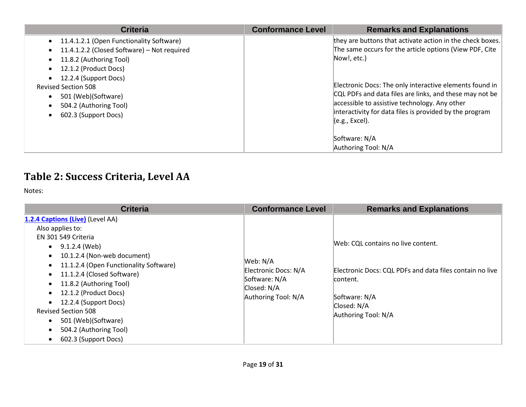| <b>Criteria</b>                                                                                                                                                                                                                                                             | <b>Conformance Level</b> | <b>Remarks and Explanations</b>                                                                                                                                                                                                                                                                                                                                                                          |
|-----------------------------------------------------------------------------------------------------------------------------------------------------------------------------------------------------------------------------------------------------------------------------|--------------------------|----------------------------------------------------------------------------------------------------------------------------------------------------------------------------------------------------------------------------------------------------------------------------------------------------------------------------------------------------------------------------------------------------------|
| 11.4.1.2.1 (Open Functionality Software)<br>11.4.1.2.2 (Closed Software) - Not required<br>11.8.2 (Authoring Tool)<br>12.1.2 (Product Docs)<br>12.2.4 (Support Docs)<br><b>Revised Section 508</b><br>501 (Web)(Software)<br>504.2 (Authoring Tool)<br>602.3 (Support Docs) |                          | they are buttons that activate action in the check boxes.<br>The same occurs for the article options (View PDF, Cite<br>Now!, etc.)<br>Electronic Docs: The only interactive elements found in<br>CQL PDFs and data files are links, and these may not be<br>accessible to assistive technology. Any other<br>interactivity for data files is provided by the program<br>(e.g., Excel).<br>Software: N/A |
|                                                                                                                                                                                                                                                                             |                          | Authoring Tool: N/A                                                                                                                                                                                                                                                                                                                                                                                      |

### **Table 2: Success Criteria, Level AA**

Notes:

| <b>Criteria</b>                                                                                                                                                                                                                                                                                                                                                                                                | <b>Conformance Level</b>                                                                | <b>Remarks and Explanations</b>                                                                                                                                   |
|----------------------------------------------------------------------------------------------------------------------------------------------------------------------------------------------------------------------------------------------------------------------------------------------------------------------------------------------------------------------------------------------------------------|-----------------------------------------------------------------------------------------|-------------------------------------------------------------------------------------------------------------------------------------------------------------------|
| 1.2.4 Captions (Live) (Level AA)<br>Also applies to:<br>EN 301 549 Criteria<br>$\bullet$ 9.1.2.4 (Web)<br>10.1.2.4 (Non-web document)<br>11.1.2.4 (Open Functionality Software)<br>$\bullet$<br>11.1.2.4 (Closed Software)<br>11.8.2 (Authoring Tool)<br>12.1.2 (Product Docs)<br>12.2.4 (Support Docs)<br><b>Revised Section 508</b><br>501 (Web)(Software)<br>504.2 (Authoring Tool)<br>602.3 (Support Docs) | Web: N/A<br>Electronic Docs: N/A<br>Software: N/A<br>Closed: N/A<br>Authoring Tool: N/A | Web: CQL contains no live content.<br>Electronic Docs: CQL PDFs and data files contain no live<br>content.<br>Software: N/A<br>Closed: N/A<br>Authoring Tool: N/A |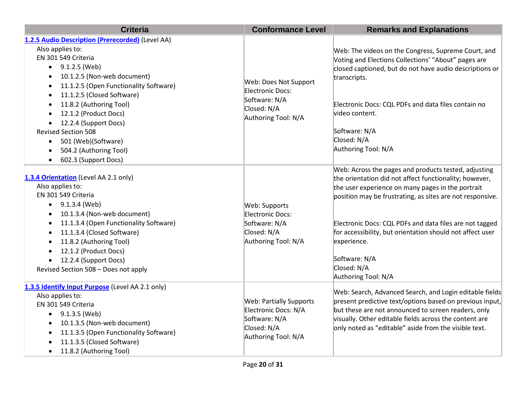| <b>Criteria</b>                                                            | <b>Conformance Level</b>                         | <b>Remarks and Explanations</b>                                                                                      |
|----------------------------------------------------------------------------|--------------------------------------------------|----------------------------------------------------------------------------------------------------------------------|
| 1.2.5 Audio Description (Prerecorded) (Level AA)                           |                                                  |                                                                                                                      |
| Also applies to:                                                           |                                                  | Web: The videos on the Congress, Supreme Court, and                                                                  |
| EN 301 549 Criteria                                                        |                                                  | Voting and Elections Collections' "About" pages are                                                                  |
| 9.1.2.5 (Web)<br>$\bullet$                                                 |                                                  | closed captioned, but do not have audio descriptions or                                                              |
| 10.1.2.5 (Non-web document)<br>$\bullet$                                   |                                                  | transcripts.                                                                                                         |
| 11.1.2.5 (Open Functionality Software)<br>$\bullet$                        | Web: Does Not Support<br><b>Electronic Docs:</b> |                                                                                                                      |
| 11.1.2.5 (Closed Software)<br>$\bullet$                                    | Software: N/A                                    |                                                                                                                      |
| 11.8.2 (Authoring Tool)<br>$\bullet$                                       | Closed: N/A                                      | Electronic Docs: CQL PDFs and data files contain no                                                                  |
| 12.1.2 (Product Docs)<br>$\bullet$                                         | Authoring Tool: N/A                              | video content.                                                                                                       |
| 12.2.4 (Support Docs)<br>$\bullet$                                         |                                                  |                                                                                                                      |
| <b>Revised Section 508</b>                                                 |                                                  | Software: N/A                                                                                                        |
| 501 (Web)(Software)<br>$\bullet$                                           |                                                  | Closed: N/A                                                                                                          |
| 504.2 (Authoring Tool)<br>$\bullet$                                        |                                                  | Authoring Tool: N/A                                                                                                  |
| 602.3 (Support Docs)<br>$\bullet$                                          |                                                  |                                                                                                                      |
|                                                                            |                                                  | Web: Across the pages and products tested, adjusting                                                                 |
| 1.3.4 Orientation (Level AA 2.1 only)                                      |                                                  | the orientation did not affect functionality; however,                                                               |
| Also applies to:                                                           |                                                  | the user experience on many pages in the portrait                                                                    |
| EN 301 549 Criteria                                                        |                                                  | position may be frustrating, as sites are not responsive.                                                            |
| $\bullet$ 9.1.3.4 (Web)                                                    | Web: Supports                                    |                                                                                                                      |
| 10.1.3.4 (Non-web document)<br>$\bullet$                                   | Electronic Docs:                                 |                                                                                                                      |
| 11.1.3.4 (Open Functionality Software)<br>$\bullet$                        | Software: N/A<br>Closed: N/A                     | Electronic Docs: CQL PDFs and data files are not tagged<br>for accessibility, but orientation should not affect user |
| 11.1.3.4 (Closed Software)<br>$\bullet$                                    | Authoring Tool: N/A                              | experience.                                                                                                          |
| 11.8.2 (Authoring Tool)<br>$\bullet$<br>12.1.2 (Product Docs)<br>$\bullet$ |                                                  |                                                                                                                      |
| 12.2.4 (Support Docs)<br>$\bullet$                                         |                                                  | Software: N/A                                                                                                        |
| Revised Section 508 - Does not apply                                       |                                                  | Closed: N/A                                                                                                          |
|                                                                            |                                                  | Authoring Tool: N/A                                                                                                  |
| 1.3.5 Identify Input Purpose (Level AA 2.1 only)                           |                                                  |                                                                                                                      |
| Also applies to:                                                           |                                                  | Web: Search, Advanced Search, and Login editable fields                                                              |
| EN 301 549 Criteria                                                        | <b>Web: Partially Supports</b>                   | present predictive text/options based on previous input,                                                             |
| 9.1.3.5 (Web)<br>$\bullet$                                                 | Electronic Docs: N/A<br>Software: N/A            | but these are not announced to screen readers, only                                                                  |
| 10.1.3.5 (Non-web document)<br>$\bullet$                                   | Closed: N/A                                      | visually. Other editable fields across the content are<br>only noted as "editable" aside from the visible text.      |
| 11.1.3.5 (Open Functionality Software)<br>$\bullet$                        | Authoring Tool: N/A                              |                                                                                                                      |
| 11.1.3.5 (Closed Software)                                                 |                                                  |                                                                                                                      |
| 11.8.2 (Authoring Tool)<br>$\bullet$                                       |                                                  |                                                                                                                      |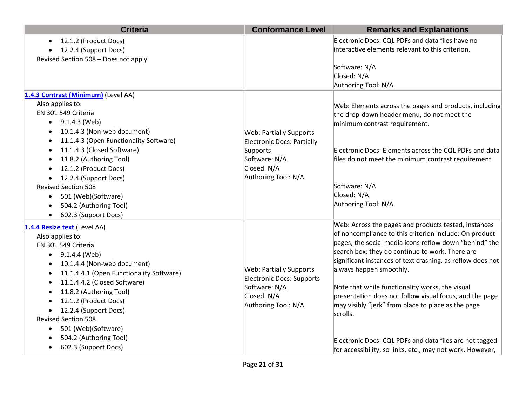| <b>Criteria</b>                                             | <b>Conformance Level</b>                   | <b>Remarks and Explanations</b>                                                                               |
|-------------------------------------------------------------|--------------------------------------------|---------------------------------------------------------------------------------------------------------------|
| 12.1.2 (Product Docs)                                       |                                            | Electronic Docs: CQL PDFs and data files have no                                                              |
| 12.2.4 (Support Docs)                                       |                                            | interactive elements relevant to this criterion.                                                              |
| Revised Section 508 - Does not apply                        |                                            |                                                                                                               |
|                                                             |                                            | Software: N/A<br>Closed: N/A                                                                                  |
|                                                             |                                            | Authoring Tool: N/A                                                                                           |
| 1.4.3 Contrast (Minimum) (Level AA)                         |                                            |                                                                                                               |
| Also applies to:                                            |                                            | Web: Elements across the pages and products, including                                                        |
| EN 301 549 Criteria                                         |                                            | the drop-down header menu, do not meet the                                                                    |
| 9.1.4.3 (Web)<br>$\bullet$                                  |                                            | minimum contrast requirement.                                                                                 |
| 10.1.4.3 (Non-web document)<br>$\bullet$                    | <b>Web: Partially Supports</b>             |                                                                                                               |
| 11.1.4.3 (Open Functionality Software)<br>٠                 | <b>Electronic Docs: Partially</b>          |                                                                                                               |
| 11.1.4.3 (Closed Software)<br>$\bullet$                     | Supports                                   | Electronic Docs: Elements across the CQL PDFs and data                                                        |
| 11.8.2 (Authoring Tool)                                     | Software: N/A                              | files do not meet the minimum contrast requirement.                                                           |
| 12.1.2 (Product Docs)                                       | Closed: N/A                                |                                                                                                               |
| 12.2.4 (Support Docs)                                       | Authoring Tool: N/A                        |                                                                                                               |
| <b>Revised Section 508</b>                                  |                                            | Software: N/A<br>Closed: N/A                                                                                  |
| 501 (Web)(Software)<br>$\bullet$                            |                                            | Authoring Tool: N/A                                                                                           |
| 504.2 (Authoring Tool)<br>602.3 (Support Docs)<br>$\bullet$ |                                            |                                                                                                               |
|                                                             |                                            | Web: Across the pages and products tested, instances                                                          |
| 1.4.4 Resize text (Level AA)                                |                                            | of noncompliance to this criterion include: On product                                                        |
| Also applies to:<br>EN 301 549 Criteria                     |                                            | pages, the social media icons reflow down "behind" the                                                        |
| $\bullet$ 9.1.4.4 (Web)                                     |                                            | search box; they do continue to work. There are                                                               |
| 10.1.4.4 (Non-web document)                                 |                                            | significant instances of text crashing, as reflow does not                                                    |
| 11.1.4.4.1 (Open Functionality Software)<br>$\bullet$       | <b>Web: Partially Supports</b>             | always happen smoothly.                                                                                       |
| 11.1.4.4.2 (Closed Software)<br>٠                           | Electronic Docs: Supports<br>Software: N/A |                                                                                                               |
| 11.8.2 (Authoring Tool)                                     |                                            | Note that while functionality works, the visual                                                               |
| 12.1.2 (Product Docs)                                       | Closed: N/A<br>Authoring Tool: N/A         | presentation does not follow visual focus, and the page<br>may visibly "jerk" from place to place as the page |
| 12.2.4 (Support Docs)<br>$\bullet$                          |                                            | scrolls.                                                                                                      |
| <b>Revised Section 508</b>                                  |                                            |                                                                                                               |
| 501 (Web)(Software)                                         |                                            |                                                                                                               |
| 504.2 (Authoring Tool)                                      |                                            | Electronic Docs: CQL PDFs and data files are not tagged                                                       |
| 602.3 (Support Docs)                                        |                                            | for accessibility, so links, etc., may not work. However,                                                     |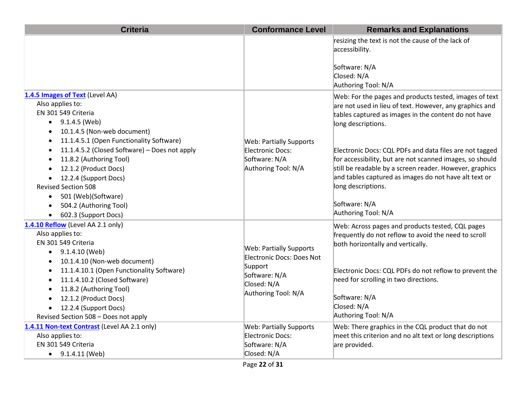| <b>Criteria</b>                                                                                                                                                                                                                                                                                                                                                                                                                                                                                                                               | <b>Conformance Level</b>                                                                                                      | <b>Remarks and Explanations</b>                                                                                                                                                                                                                                                                                                                                                                                                                                                                          |
|-----------------------------------------------------------------------------------------------------------------------------------------------------------------------------------------------------------------------------------------------------------------------------------------------------------------------------------------------------------------------------------------------------------------------------------------------------------------------------------------------------------------------------------------------|-------------------------------------------------------------------------------------------------------------------------------|----------------------------------------------------------------------------------------------------------------------------------------------------------------------------------------------------------------------------------------------------------------------------------------------------------------------------------------------------------------------------------------------------------------------------------------------------------------------------------------------------------|
|                                                                                                                                                                                                                                                                                                                                                                                                                                                                                                                                               |                                                                                                                               | resizing the text is not the cause of the lack of<br>accessibility.<br>Software: N/A<br>Closed: N/A<br>Authoring Tool: N/A                                                                                                                                                                                                                                                                                                                                                                               |
| 1.4.5 Images of Text (Level AA)<br>Also applies to:<br>EN 301 549 Criteria<br>9.1.4.5 (Web)<br>$\bullet$<br>10.1.4.5 (Non-web document)<br>$\bullet$<br>11.1.4.5.1 (Open Functionality Software)<br>$\bullet$<br>11.1.4.5.2 (Closed Software) - Does not apply<br>$\bullet$<br>11.8.2 (Authoring Tool)<br>$\bullet$<br>12.1.2 (Product Docs)<br>$\bullet$<br>12.2.4 (Support Docs)<br>$\bullet$<br><b>Revised Section 508</b><br>501 (Web)(Software)<br>$\bullet$<br>504.2 (Authoring Tool)<br>$\bullet$<br>602.3 (Support Docs)<br>$\bullet$ | <b>Web: Partially Supports</b><br>Electronic Docs:<br>Software: N/A<br>Authoring Tool: N/A                                    | Web: For the pages and products tested, images of text<br>are not used in lieu of text. However, any graphics and<br>tables captured as images in the content do not have<br>long descriptions.<br>Electronic Docs: CQL PDFs and data files are not tagged<br>for accessibility, but are not scanned images, so should<br>still be readable by a screen reader. However, graphics<br>and tables captured as images do not have alt text or<br>long descriptions.<br>Software: N/A<br>Authoring Tool: N/A |
| 1.4.10 Reflow (Level AA 2.1 only)<br>Also applies to:<br>EN 301 549 Criteria<br>9.1.4.10 (Web)<br>$\bullet$<br>10.1.4.10 (Non-web document)<br>٠<br>11.1.4.10.1 (Open Functionality Software)<br>٠<br>11.1.4.10.2 (Closed Software)<br>$\bullet$<br>11.8.2 (Authoring Tool)<br>12.1.2 (Product Docs)<br>$\bullet$<br>12.2.4 (Support Docs)<br>$\bullet$<br>Revised Section 508 - Does not apply                                                                                                                                               | <b>Web: Partially Supports</b><br>Electronic Docs: Does Not<br>Support<br>Software: N/A<br>Closed: N/A<br>Authoring Tool: N/A | Web: Across pages and products tested, CQL pages<br>frequently do not reflow to avoid the need to scroll<br>both horizontally and vertically.<br>Electronic Docs: CQL PDFs do not reflow to prevent the<br>need for scrolling in two directions.<br>Software: N/A<br>Closed: N/A<br>Authoring Tool: N/A                                                                                                                                                                                                  |
| 1.4.11 Non-text Contrast (Level AA 2.1 only)<br>Also applies to:<br>EN 301 549 Criteria<br>9.1.4.11 (Web)<br>$\bullet$                                                                                                                                                                                                                                                                                                                                                                                                                        | <b>Web: Partially Supports</b><br>Electronic Docs:<br>Software: N/A<br>Closed: N/A                                            | Web: There graphics in the CQL product that do not<br>meet this criterion and no alt text or long descriptions<br>are provided.                                                                                                                                                                                                                                                                                                                                                                          |
|                                                                                                                                                                                                                                                                                                                                                                                                                                                                                                                                               | Page 22 of 31                                                                                                                 |                                                                                                                                                                                                                                                                                                                                                                                                                                                                                                          |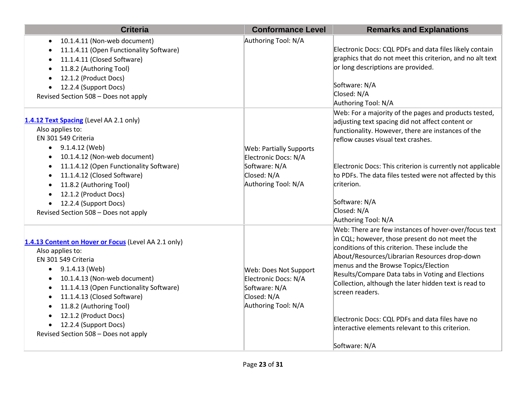| <b>Criteria</b>                                                                                                                                                                                                                                                                                                                                                                                                   | <b>Conformance Level</b>                                                                                      | <b>Remarks and Explanations</b>                                                                                                                                                                                                                                                                                                                                                                                                                                                                               |
|-------------------------------------------------------------------------------------------------------------------------------------------------------------------------------------------------------------------------------------------------------------------------------------------------------------------------------------------------------------------------------------------------------------------|---------------------------------------------------------------------------------------------------------------|---------------------------------------------------------------------------------------------------------------------------------------------------------------------------------------------------------------------------------------------------------------------------------------------------------------------------------------------------------------------------------------------------------------------------------------------------------------------------------------------------------------|
| 10.1.4.11 (Non-web document)<br>$\bullet$<br>11.1.4.11 (Open Functionality Software)<br>٠<br>11.1.4.11 (Closed Software)<br>$\bullet$<br>11.8.2 (Authoring Tool)<br>$\bullet$<br>12.1.2 (Product Docs)<br>$\bullet$<br>12.2.4 (Support Docs)<br>$\bullet$<br>Revised Section 508 - Does not apply                                                                                                                 | Authoring Tool: N/A                                                                                           | Electronic Docs: CQL PDFs and data files likely contain<br>graphics that do not meet this criterion, and no alt text<br>or long descriptions are provided.<br>Software: N/A<br>Closed: N/A<br>Authoring Tool: N/A                                                                                                                                                                                                                                                                                             |
| 1.4.12 Text Spacing (Level AA 2.1 only)<br>Also applies to:<br>EN 301 549 Criteria<br>9.1.4.12 (Web)<br>$\bullet$<br>10.1.4.12 (Non-web document)<br>$\bullet$<br>11.1.4.12 (Open Functionality Software)<br>$\bullet$<br>11.1.4.12 (Closed Software)<br>$\bullet$<br>11.8.2 (Authoring Tool)<br>12.1.2 (Product Docs)<br>$\bullet$<br>12.2.4 (Support Docs)<br>$\bullet$<br>Revised Section 508 - Does not apply | <b>Web: Partially Supports</b><br>Electronic Docs: N/A<br>Software: N/A<br>Closed: N/A<br>Authoring Tool: N/A | Web: For a majority of the pages and products tested,<br>adjusting text spacing did not affect content or<br>functionality. However, there are instances of the<br>reflow causes visual text crashes.<br>Electronic Docs: This criterion is currently not applicable<br>to PDFs. The data files tested were not affected by this<br>criterion.<br>Software: N/A<br>Closed: N/A<br>Authoring Tool: N/A                                                                                                         |
| 1.4.13 Content on Hover or Focus (Level AA 2.1 only)<br>Also applies to:<br>EN 301 549 Criteria<br>9.1.4.13 (Web)<br>$\bullet$<br>10.1.4.13 (Non-web document)<br>$\bullet$<br>11.1.4.13 (Open Functionality Software)<br>$\bullet$<br>11.1.4.13 (Closed Software)<br>$\bullet$<br>11.8.2 (Authoring Tool)<br>$\bullet$<br>12.1.2 (Product Docs)<br>12.2.4 (Support Docs)<br>Revised Section 508 - Does not apply | Web: Does Not Support<br>Electronic Docs: N/A<br>Software: N/A<br>Closed: N/A<br>Authoring Tool: N/A          | Web: There are few instances of hover-over/focus text<br>in CQL; however, those present do not meet the<br>conditions of this criterion. These include the<br>About/Resources/Librarian Resources drop-down<br>menus and the Browse Topics/Election<br>Results/Compare Data tabs in Voting and Elections<br>Collection, although the later hidden text is read to<br>screen readers.<br>Electronic Docs: CQL PDFs and data files have no<br>interactive elements relevant to this criterion.<br>Software: N/A |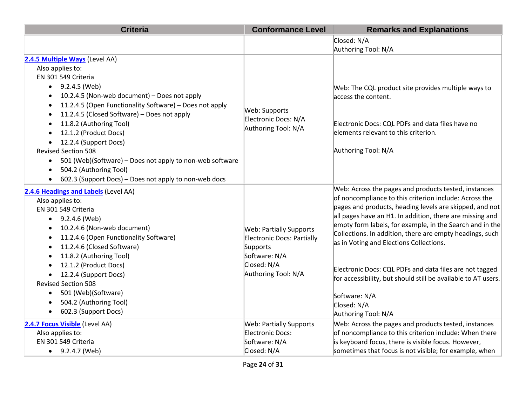| <b>Criteria</b>                                                      | <b>Conformance Level</b>       | <b>Remarks and Explanations</b>                               |
|----------------------------------------------------------------------|--------------------------------|---------------------------------------------------------------|
|                                                                      |                                | Closed: N/A                                                   |
|                                                                      |                                | Authoring Tool: N/A                                           |
| 2.4.5 Multiple Ways (Level AA)                                       |                                |                                                               |
| Also applies to:                                                     |                                |                                                               |
| EN 301 549 Criteria                                                  |                                |                                                               |
| $\bullet$ 9.2.4.5 (Web)                                              |                                | Web: The CQL product site provides multiple ways to           |
| 10.2.4.5 (Non-web document) - Does not apply                         |                                | access the content.                                           |
| 11.2.4.5 (Open Functionality Software) - Does not apply<br>$\bullet$ | Web: Supports                  |                                                               |
| 11.2.4.5 (Closed Software) - Does not apply<br>$\bullet$             | Electronic Docs: N/A           |                                                               |
| 11.8.2 (Authoring Tool)                                              | Authoring Tool: N/A            | Electronic Docs: CQL PDFs and data files have no              |
| 12.1.2 (Product Docs)                                                |                                | elements relevant to this criterion.                          |
| 12.2.4 (Support Docs)                                                |                                |                                                               |
| <b>Revised Section 508</b>                                           |                                | Authoring Tool: N/A                                           |
| 501 (Web)(Software) - Does not apply to non-web software             |                                |                                                               |
| 504.2 (Authoring Tool)                                               |                                |                                                               |
| 602.3 (Support Docs) - Does not apply to non-web docs                |                                |                                                               |
| 2.4.6 Headings and Labels (Level AA)                                 |                                | Web: Across the pages and products tested, instances          |
| Also applies to:                                                     |                                | of noncompliance to this criterion include: Across the        |
| EN 301 549 Criteria                                                  |                                | pages and products, heading levels are skipped, and not       |
| 9.2.4.6 (Web)                                                        |                                | all pages have an H1. In addition, there are missing and      |
| 10.2.4.6 (Non-web document)                                          | <b>Web: Partially Supports</b> | empty form labels, for example, in the Search and in the      |
| 11.2.4.6 (Open Functionality Software)                               | Electronic Docs: Partially     | Collections. In addition, there are empty headings, such      |
| 11.2.4.6 (Closed Software)                                           | Supports                       | as in Voting and Elections Collections.                       |
| 11.8.2 (Authoring Tool)                                              | Software: N/A                  |                                                               |
| 12.1.2 (Product Docs)                                                | Closed: N/A                    | Electronic Docs: CQL PDFs and data files are not tagged       |
| 12.2.4 (Support Docs)                                                | Authoring Tool: N/A            | for accessibility, but should still be available to AT users. |
| <b>Revised Section 508</b>                                           |                                |                                                               |
| 501 (Web)(Software)<br>$\bullet$                                     |                                | Software: N/A                                                 |
| 504.2 (Authoring Tool)                                               |                                | Closed: N/A                                                   |
| 602.3 (Support Docs)                                                 |                                | Authoring Tool: N/A                                           |
| 2.4.7 Focus Visible (Level AA)                                       | <b>Web: Partially Supports</b> | Web: Across the pages and products tested, instances          |
| Also applies to:                                                     | Electronic Docs:               | of noncompliance to this criterion include: When there        |
| EN 301 549 Criteria                                                  | Software: N/A                  | is keyboard focus, there is visible focus. However,           |
| $\bullet$ 9.2.4.7 (Web)                                              | Closed: N/A                    | sometimes that focus is not visible; for example, when        |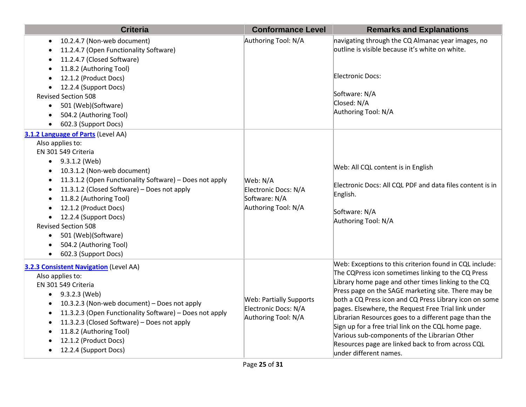| <b>Criteria</b>                                                                                                                                                                                                                                                                                                                                                                                                                                                                              | <b>Conformance Level</b>                                                      | <b>Remarks and Explanations</b>                                                                                                                                                                                                                                                                                                                                                                                                                                                                                                                                                              |
|----------------------------------------------------------------------------------------------------------------------------------------------------------------------------------------------------------------------------------------------------------------------------------------------------------------------------------------------------------------------------------------------------------------------------------------------------------------------------------------------|-------------------------------------------------------------------------------|----------------------------------------------------------------------------------------------------------------------------------------------------------------------------------------------------------------------------------------------------------------------------------------------------------------------------------------------------------------------------------------------------------------------------------------------------------------------------------------------------------------------------------------------------------------------------------------------|
| 10.2.4.7 (Non-web document)<br>$\bullet$<br>11.2.4.7 (Open Functionality Software)<br>11.2.4.7 (Closed Software)<br>11.8.2 (Authoring Tool)<br>12.1.2 (Product Docs)<br>12.2.4 (Support Docs)<br><b>Revised Section 508</b><br>501 (Web)(Software)<br>$\bullet$<br>504.2 (Authoring Tool)<br>$\bullet$<br>602.3 (Support Docs)<br>$\bullet$                                                                                                                                                  | Authoring Tool: N/A                                                           | navigating through the CQ Almanac year images, no<br>outline is visible because it's white on white.<br>Electronic Docs:<br>Software: N/A<br>Closed: N/A<br>Authoring Tool: N/A                                                                                                                                                                                                                                                                                                                                                                                                              |
| 3.1.2 Language of Parts (Level AA)<br>Also applies to:<br>EN 301 549 Criteria<br>9.3.1.2 (Web)<br>$\bullet$<br>10.3.1.2 (Non-web document)<br>11.3.1.2 (Open Functionality Software) - Does not apply<br>11.3.1.2 (Closed Software) - Does not apply<br>11.8.2 (Authoring Tool)<br>12.1.2 (Product Docs)<br>12.2.4 (Support Docs)<br>$\bullet$<br><b>Revised Section 508</b><br>501 (Web)(Software)<br>$\bullet$<br>504.2 (Authoring Tool)<br>$\bullet$<br>602.3 (Support Docs)<br>$\bullet$ | Web: N/A<br>Electronic Docs: N/A<br>Software: N/A<br>Authoring Tool: N/A      | Web: All CQL content is in English<br>Electronic Docs: All CQL PDF and data files content is in<br>English.<br>Software: N/A<br>Authoring Tool: N/A                                                                                                                                                                                                                                                                                                                                                                                                                                          |
| 3.2.3 Consistent Navigation (Level AA)<br>Also applies to:<br>EN 301 549 Criteria<br>9.3.2.3 (Web)<br>$\bullet$<br>10.3.2.3 (Non-web document) - Does not apply<br>$\bullet$<br>11.3.2.3 (Open Functionality Software) - Does not apply<br>11.3.2.3 (Closed Software) - Does not apply<br>٠<br>11.8.2 (Authoring Tool)<br>12.1.2 (Product Docs)<br>12.2.4 (Support Docs)                                                                                                                     | <b>Web: Partially Supports</b><br>Electronic Docs: N/A<br>Authoring Tool: N/A | Web: Exceptions to this criterion found in CQL include:<br>The CQPress icon sometimes linking to the CQ Press<br>Library home page and other times linking to the CQ<br>Press page on the SAGE marketing site. There may be<br>both a CQ Press icon and CQ Press Library icon on some<br>pages. Elsewhere, the Request Free Trial link under<br>Librarian Resources goes to a different page than the<br>Sign up for a free trial link on the CQL home page.<br>Various sub-components of the Librarian Other<br>Resources page are linked back to from across CQL<br>under different names. |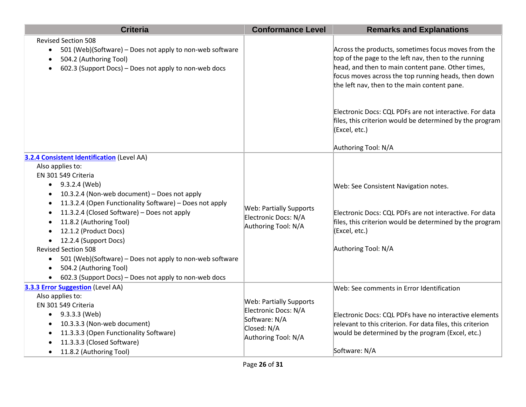| <b>Criteria</b>                                                                                                                                                                                                                                                                                                                                                                                                                                                                                                                                                  | <b>Conformance Level</b>                                                                                      | <b>Remarks and Explanations</b>                                                                                                                                                                                                                                                                                                                                                                |
|------------------------------------------------------------------------------------------------------------------------------------------------------------------------------------------------------------------------------------------------------------------------------------------------------------------------------------------------------------------------------------------------------------------------------------------------------------------------------------------------------------------------------------------------------------------|---------------------------------------------------------------------------------------------------------------|------------------------------------------------------------------------------------------------------------------------------------------------------------------------------------------------------------------------------------------------------------------------------------------------------------------------------------------------------------------------------------------------|
| <b>Revised Section 508</b><br>501 (Web)(Software) – Does not apply to non-web software<br>$\bullet$<br>504.2 (Authoring Tool)<br>602.3 (Support Docs) - Does not apply to non-web docs                                                                                                                                                                                                                                                                                                                                                                           |                                                                                                               | Across the products, sometimes focus moves from the<br>top of the page to the left nav, then to the running<br>head, and then to main content pane. Other times,<br>focus moves across the top running heads, then down<br>the left nav, then to the main content pane.<br>Electronic Docs: CQL PDFs are not interactive. For data<br>files, this criterion would be determined by the program |
|                                                                                                                                                                                                                                                                                                                                                                                                                                                                                                                                                                  |                                                                                                               | (Excel, etc.)<br>Authoring Tool: N/A                                                                                                                                                                                                                                                                                                                                                           |
| <b>3.2.4 Consistent Identification (Level AA)</b><br>Also applies to:<br>EN 301 549 Criteria<br>$-9.3.2.4$ (Web)<br>10.3.2.4 (Non-web document) - Does not apply<br>11.3.2.4 (Open Functionality Software) - Does not apply<br>$\bullet$<br>11.3.2.4 (Closed Software) - Does not apply<br>$\bullet$<br>11.8.2 (Authoring Tool)<br>12.1.2 (Product Docs)<br>• 12.2.4 (Support Docs)<br><b>Revised Section 508</b><br>501 (Web)(Software) - Does not apply to non-web software<br>504.2 (Authoring Tool)<br>602.3 (Support Docs) - Does not apply to non-web docs | <b>Web: Partially Supports</b><br>Electronic Docs: N/A<br>Authoring Tool: N/A                                 | Web: See Consistent Navigation notes.<br>Electronic Docs: CQL PDFs are not interactive. For data<br>files, this criterion would be determined by the program<br>(Excel, etc.)<br>Authoring Tool: N/A                                                                                                                                                                                           |
| 3.3.3 Error Suggestion (Level AA)<br>Also applies to:<br>EN 301 549 Criteria<br>$\bullet$ 9.3.3.3 (Web)<br>10.3.3.3 (Non-web document)<br>11.3.3.3 (Open Functionality Software)<br>11.3.3.3 (Closed Software)<br>11.8.2 (Authoring Tool)                                                                                                                                                                                                                                                                                                                        | <b>Web: Partially Supports</b><br>Electronic Docs: N/A<br>Software: N/A<br>Closed: N/A<br>Authoring Tool: N/A | Web: See comments in Error Identification<br>Electronic Docs: CQL PDFs have no interactive elements<br>relevant to this criterion. For data files, this criterion<br>would be determined by the program (Excel, etc.)<br>Software: N/A                                                                                                                                                         |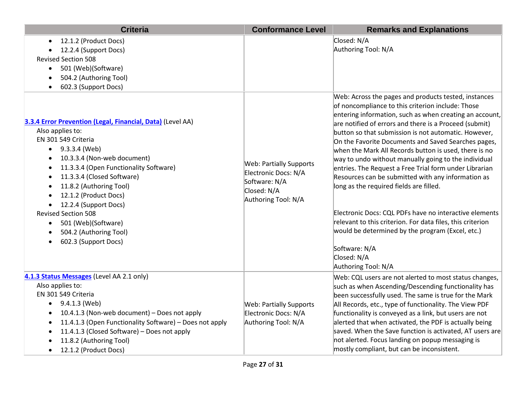| <b>Criteria</b>                                                                                                                                                                                                                                                                                                                                                                                                                             | <b>Conformance Level</b>                                                                                      | <b>Remarks and Explanations</b>                                                                                                                                                                                                                                                                                                                                                                                                                                                                                                                                                                                                                                                                                                                                                                                                                              |
|---------------------------------------------------------------------------------------------------------------------------------------------------------------------------------------------------------------------------------------------------------------------------------------------------------------------------------------------------------------------------------------------------------------------------------------------|---------------------------------------------------------------------------------------------------------------|--------------------------------------------------------------------------------------------------------------------------------------------------------------------------------------------------------------------------------------------------------------------------------------------------------------------------------------------------------------------------------------------------------------------------------------------------------------------------------------------------------------------------------------------------------------------------------------------------------------------------------------------------------------------------------------------------------------------------------------------------------------------------------------------------------------------------------------------------------------|
| 12.1.2 (Product Docs)<br>12.2.4 (Support Docs)<br><b>Revised Section 508</b><br>501 (Web)(Software)<br>$\bullet$<br>504.2 (Authoring Tool)<br>602.3 (Support Docs)                                                                                                                                                                                                                                                                          |                                                                                                               | Closed: N/A<br>Authoring Tool: N/A                                                                                                                                                                                                                                                                                                                                                                                                                                                                                                                                                                                                                                                                                                                                                                                                                           |
| 3.3.4 Error Prevention (Legal, Financial, Data) (Level AA)<br>Also applies to:<br>EN 301 549 Criteria<br>9.3.3.4 (Web)<br>$\bullet$<br>10.3.3.4 (Non-web document)<br>11.3.3.4 (Open Functionality Software)<br>11.3.3.4 (Closed Software)<br>11.8.2 (Authoring Tool)<br>12.1.2 (Product Docs)<br>12.2.4 (Support Docs)<br><b>Revised Section 508</b><br>501 (Web)(Software)<br>$\bullet$<br>504.2 (Authoring Tool)<br>602.3 (Support Docs) | <b>Web: Partially Supports</b><br>Electronic Docs: N/A<br>Software: N/A<br>Closed: N/A<br>Authoring Tool: N/A | Web: Across the pages and products tested, instances<br>of noncompliance to this criterion include: Those<br>entering information, such as when creating an account,<br>are notified of errors and there is a Proceed (submit)<br>button so that submission is not automatic. However,<br>On the Favorite Documents and Saved Searches pages,<br>when the Mark All Records button is used, there is no<br>way to undo without manually going to the individual<br>entries. The Request a Free Trial form under Librarian<br>Resources can be submitted with any information as<br>long as the required fields are filled.<br>Electronic Docs: CQL PDFs have no interactive elements<br>relevant to this criterion. For data files, this criterion<br>would be determined by the program (Excel, etc.)<br>Software: N/A<br>Closed: N/A<br>Authoring Tool: N/A |
| 4.1.3 Status Messages (Level AA 2.1 only)<br>Also applies to:<br>EN 301 549 Criteria<br>9.4.1.3 (Web)<br>$\bullet$<br>10.4.1.3 (Non-web document) - Does not apply<br>11.4.1.3 (Open Functionality Software) - Does not apply<br>$\bullet$<br>11.4.1.3 (Closed Software) - Does not apply<br>11.8.2 (Authoring Tool)<br>12.1.2 (Product Docs)                                                                                               | <b>Web: Partially Supports</b><br>Electronic Docs: N/A<br>Authoring Tool: N/A                                 | Web: CQL users are not alerted to most status changes,<br>such as when Ascending/Descending functionality has<br>been successfully used. The same is true for the Mark<br>All Records, etc., type of functionality. The View PDF<br>functionality is conveyed as a link, but users are not<br>alerted that when activated, the PDF is actually being<br>saved. When the Save function is activated, AT users are<br>not alerted. Focus landing on popup messaging is<br>mostly compliant, but can be inconsistent.                                                                                                                                                                                                                                                                                                                                           |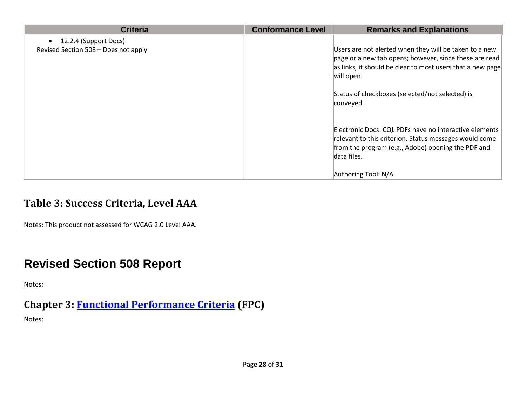| <b>Criteria</b>                                               | <b>Conformance Level</b> | <b>Remarks and Explanations</b>                                                                                                                                                              |
|---------------------------------------------------------------|--------------------------|----------------------------------------------------------------------------------------------------------------------------------------------------------------------------------------------|
| 12.2.4 (Support Docs)<br>Revised Section 508 - Does not apply |                          | Users are not alerted when they will be taken to a new<br>page or a new tab opens; however, since these are read<br>as links, it should be clear to most users that a new page<br>will open. |
|                                                               |                          | Status of checkboxes (selected/not selected) is<br>conveyed.                                                                                                                                 |
|                                                               |                          | Electronic Docs: CQL PDFs have no interactive elements<br>relevant to this criterion. Status messages would come<br>from the program (e.g., Adobe) opening the PDF and<br>data files.        |
|                                                               |                          | Authoring Tool: N/A                                                                                                                                                                          |

#### **Table 3: Success Criteria, Level AAA**

Notes: This product not assessed for WCAG 2.0 Level AAA.

## **Revised Section 508 Report**

Notes:

#### **Chapter 3: [Functional Performance Criteria](https://www.access-board.gov/guidelines-and-standards/communications-and-it/about-the-ict-refresh/final-rule/text-of-the-standards-and-guidelines#302-functional-performance-criteria) (FPC)** Notes: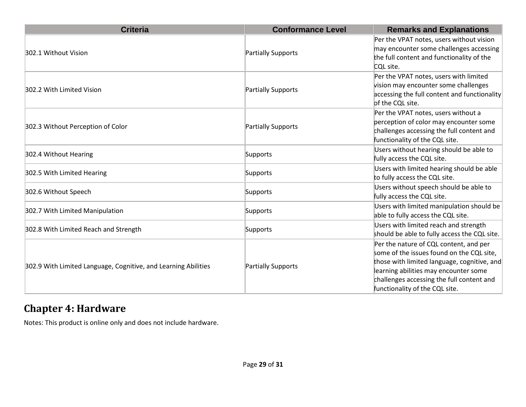| <b>Criteria</b>                                                | <b>Conformance Level</b> | <b>Remarks and Explanations</b>                                                                                                                                                                                                                            |
|----------------------------------------------------------------|--------------------------|------------------------------------------------------------------------------------------------------------------------------------------------------------------------------------------------------------------------------------------------------------|
| 302.1 Without Vision                                           | Partially Supports       | Per the VPAT notes, users without vision<br>may encounter some challenges accessing<br>the full content and functionality of the<br>CQL site.                                                                                                              |
| 302.2 With Limited Vision                                      | Partially Supports       | Per the VPAT notes, users with limited<br>vision may encounter some challenges<br>accessing the full content and functionality<br>of the CQL site.                                                                                                         |
| 302.3 Without Perception of Color                              | Partially Supports       | Per the VPAT notes, users without a<br>perception of color may encounter some<br>challenges accessing the full content and<br>functionality of the CQL site.                                                                                               |
| 302.4 Without Hearing                                          | Supports                 | Users without hearing should be able to<br>fully access the CQL site.                                                                                                                                                                                      |
| 302.5 With Limited Hearing                                     | Supports                 | Users with limited hearing should be able<br>to fully access the CQL site.                                                                                                                                                                                 |
| 302.6 Without Speech                                           | Supports                 | Users without speech should be able to<br>fully access the CQL site.                                                                                                                                                                                       |
| 302.7 With Limited Manipulation                                | Supports                 | Users with limited manipulation should be<br>able to fully access the CQL site.                                                                                                                                                                            |
| 302.8 With Limited Reach and Strength                          | Supports                 | Users with limited reach and strength<br>should be able to fully access the CQL site.                                                                                                                                                                      |
| 302.9 With Limited Language, Cognitive, and Learning Abilities | Partially Supports       | Per the nature of CQL content, and per<br>some of the issues found on the CQL site,<br>those with limited language, cognitive, and<br>learning abilities may encounter some<br>challenges accessing the full content and<br>functionality of the CQL site. |

### **Chapter 4: Hardware**

Notes: This product is online only and does not include hardware.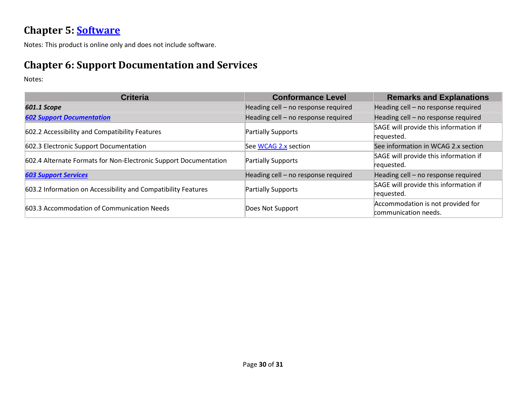#### **Chapter 5: [Software](https://www.access-board.gov/guidelines-and-standards/communications-and-it/about-the-ict-refresh/final-rule/text-of-the-standards-and-guidelines#501-general)**

Notes: This product is online only and does not include software.

#### **Chapter 6: Support Documentation and Services**

Notes:

| <b>Criteria</b>                                                  | <b>Conformance Level</b>            | <b>Remarks and Explanations</b>       |
|------------------------------------------------------------------|-------------------------------------|---------------------------------------|
| <b>601.1 Scope</b>                                               | Heading cell - no response required | Heading cell - no response required   |
| <b>602 Support Documentation</b>                                 | Heading cell - no response required | Heading cell - no response required   |
| 602.2 Accessibility and Compatibility Features                   | <b>Partially Supports</b>           | SAGE will provide this information if |
|                                                                  |                                     | requested.                            |
| 602.3 Electronic Support Documentation                           | See WCAG 2.x section                | See information in WCAG 2.x section   |
| 602.4 Alternate Formats for Non-Electronic Support Documentation | <b>Partially Supports</b>           | SAGE will provide this information if |
|                                                                  |                                     | requested.                            |
| <b>603 Support Services</b>                                      | Heading cell - no response required | Heading cell - no response required   |
| 603.2 Information on Accessibility and Compatibility Features    | <b>Partially Supports</b>           | SAGE will provide this information if |
|                                                                  |                                     | requested.                            |
| 603.3 Accommodation of Communication Needs                       | Does Not Support                    | Accommodation is not provided for     |
|                                                                  |                                     | communication needs.                  |